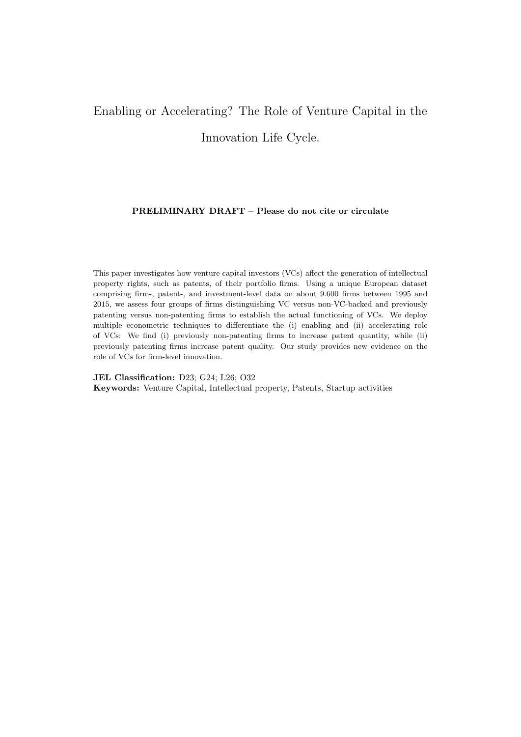# <span id="page-0-0"></span>Enabling or Accelerating? The Role of Venture Capital in the Innovation Life Cycle.

#### PRELIMINARY DRAFT – Please do not cite or circulate

This paper investigates how venture capital investors (VCs) affect the generation of intellectual property rights, such as patents, of their portfolio firms. Using a unique European dataset comprising firm-, patent-, and investment-level data on about 9.600 firms between 1995 and 2015, we assess four groups of firms distinguishing VC versus non-VC-backed and previously patenting versus non-patenting firms to establish the actual functioning of VCs. We deploy multiple econometric techniques to differentiate the (i) enabling and (ii) accelerating role of VCs: We find (i) previously non-patenting firms to increase patent quantity, while (ii) previously patenting firms increase patent quality. Our study provides new evidence on the role of VCs for firm-level innovation.

JEL Classification: D23; G24; L26; O32 Keywords: Venture Capital, Intellectual property, Patents, Startup activities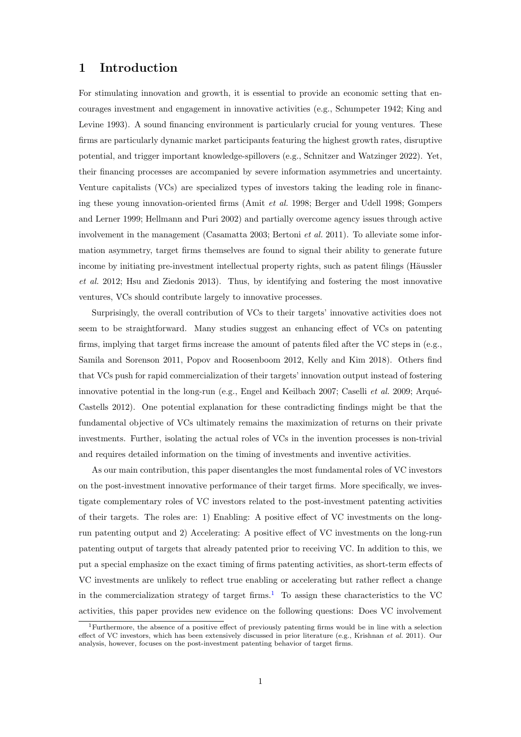# 1 Introduction

For stimulating innovation and growth, it is essential to provide an economic setting that encourages investment and engagement in innovative activities (e.g., [Schumpeter](#page-20-0) [1942;](#page-20-0) [King and](#page-19-0) [Levine](#page-19-0) [1993\)](#page-19-0). A sound financing environment is particularly crucial for young ventures. These firms are particularly dynamic market participants featuring the highest growth rates, disruptive potential, and trigger important knowledge-spillovers (e.g., [Schnitzer and Watzinger](#page-19-1) [2022\)](#page-19-1). Yet, their financing processes are accompanied by severe information asymmetries and uncertainty. Venture capitalists (VCs) are specialized types of investors taking the leading role in financing these young innovation-oriented firms [\(Amit](#page-18-0) et al. [1998;](#page-18-0) [Berger and Udell](#page-18-1) [1998;](#page-18-1) [Gompers](#page-18-2) [and Lerner](#page-18-2) [1999;](#page-18-2) [Hellmann and Puri](#page-19-2) [2002\)](#page-19-2) and partially overcome agency issues through active involvement in the management [\(Casamatta](#page-18-3) [2003;](#page-18-3) [Bertoni](#page-18-4) *et al.* [2011\)](#page-18-4). To alleviate some information asymmetry, target firms themselves are found to signal their ability to generate future income by initiating pre-investment intellectual property rights, such as patent filings (Häussler [et al.](#page-19-3) [2012;](#page-19-3) [Hsu and Ziedonis](#page-19-4) [2013\)](#page-19-4). Thus, by identifying and fostering the most innovative ventures, VCs should contribute largely to innovative processes.

Surprisingly, the overall contribution of VCs to their targets' innovative activities does not seem to be straightforward. Many studies suggest an enhancing effect of VCs on patenting firms, implying that target firms increase the amount of patents filed after the VC steps in (e.g., [Samila and Sorenson](#page-19-5) [2011,](#page-19-5) [Popov and Roosenboom](#page-19-6) [2012,](#page-19-6) [Kelly and Kim](#page-19-7) [2018\)](#page-19-7). Others find that VCs push for rapid commercialization of their targets' innovation output instead of fostering innovative potential in the long-run (e.g., [Engel and Keilbach](#page-18-5) [2007;](#page-18-5) [Caselli](#page-18-6) *et al.* [2009;](#page-18-6) Arqué-[Castells](#page-18-7) [2012\)](#page-18-7). One potential explanation for these contradicting findings might be that the fundamental objective of VCs ultimately remains the maximization of returns on their private investments. Further, isolating the actual roles of VCs in the invention processes is non-trivial and requires detailed information on the timing of investments and inventive activities.

As our main contribution, this paper disentangles the most fundamental roles of VC investors on the post-investment innovative performance of their target firms. More specifically, we investigate complementary roles of VC investors related to the post-investment patenting activities of their targets. The roles are: 1) Enabling: A positive effect of VC investments on the longrun patenting output and 2) Accelerating: A positive effect of VC investments on the long-run patenting output of targets that already patented prior to receiving VC. In addition to this, we put a special emphasize on the exact timing of firms patenting activities, as short-term effects of VC investments are unlikely to reflect true enabling or accelerating but rather reflect a change in the commercialization strategy of target firms.<sup>[1](#page-1-0)</sup> To assign these characteristics to the VC activities, this paper provides new evidence on the following questions: Does VC involvement

<span id="page-1-0"></span><sup>1</sup>Furthermore, the absence of a positive effect of previously patenting firms would be in line with a selection effect of VC investors, which has been extensively discussed in prior literature (e.g., [Krishnan](#page-19-8) et al. [2011\)](#page-19-8). Our analysis, however, focuses on the post-investment patenting behavior of target firms.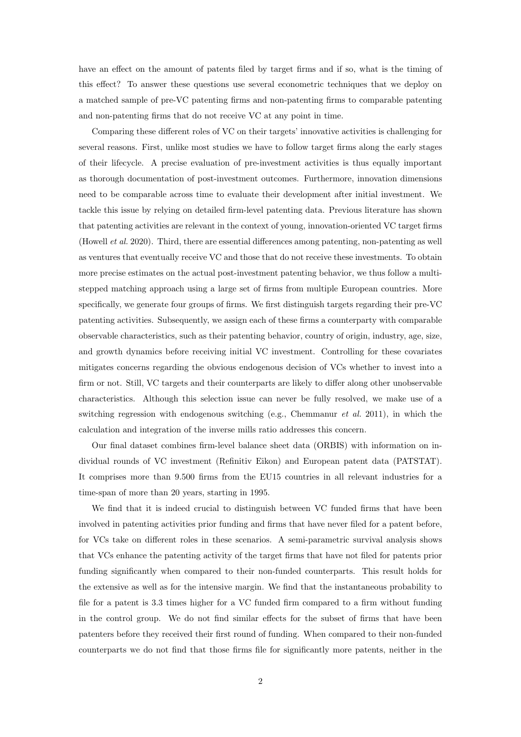have an effect on the amount of patents filed by target firms and if so, what is the timing of this effect? To answer these questions use several econometric techniques that we deploy on a matched sample of pre-VC patenting firms and non-patenting firms to comparable patenting and non-patenting firms that do not receive VC at any point in time.

Comparing these different roles of VC on their targets' innovative activities is challenging for several reasons. First, unlike most studies we have to follow target firms along the early stages of their lifecycle. A precise evaluation of pre-investment activities is thus equally important as thorough documentation of post-investment outcomes. Furthermore, innovation dimensions need to be comparable across time to evaluate their development after initial investment. We tackle this issue by relying on detailed firm-level patenting data. Previous literature has shown that patenting activities are relevant in the context of young, innovation-oriented VC target firms [\(Howell](#page-19-9) et al. [2020\)](#page-19-9). Third, there are essential differences among patenting, non-patenting as well as ventures that eventually receive VC and those that do not receive these investments. To obtain more precise estimates on the actual post-investment patenting behavior, we thus follow a multistepped matching approach using a large set of firms from multiple European countries. More specifically, we generate four groups of firms. We first distinguish targets regarding their pre-VC patenting activities. Subsequently, we assign each of these firms a counterparty with comparable observable characteristics, such as their patenting behavior, country of origin, industry, age, size, and growth dynamics before receiving initial VC investment. Controlling for these covariates mitigates concerns regarding the obvious endogenous decision of VCs whether to invest into a firm or not. Still, VC targets and their counterparts are likely to differ along other unobservable characteristics. Although this selection issue can never be fully resolved, we make use of a switching regression with endogenous switching (e.g., [Chemmanur](#page-18-8) et al. [2011\)](#page-18-8), in which the calculation and integration of the inverse mills ratio addresses this concern.

Our final dataset combines firm-level balance sheet data (ORBIS) with information on individual rounds of VC investment (Refinitiv Eikon) and European patent data (PATSTAT). It comprises more than 9.500 firms from the EU15 countries in all relevant industries for a time-span of more than 20 years, starting in 1995.

We find that it is indeed crucial to distinguish between VC funded firms that have been involved in patenting activities prior funding and firms that have never filed for a patent before, for VCs take on different roles in these scenarios. A semi-parametric survival analysis shows that VCs enhance the patenting activity of the target firms that have not filed for patents prior funding significantly when compared to their non-funded counterparts. This result holds for the extensive as well as for the intensive margin. We find that the instantaneous probability to file for a patent is 3.3 times higher for a VC funded firm compared to a firm without funding in the control group. We do not find similar effects for the subset of firms that have been patenters before they received their first round of funding. When compared to their non-funded counterparts we do not find that those firms file for significantly more patents, neither in the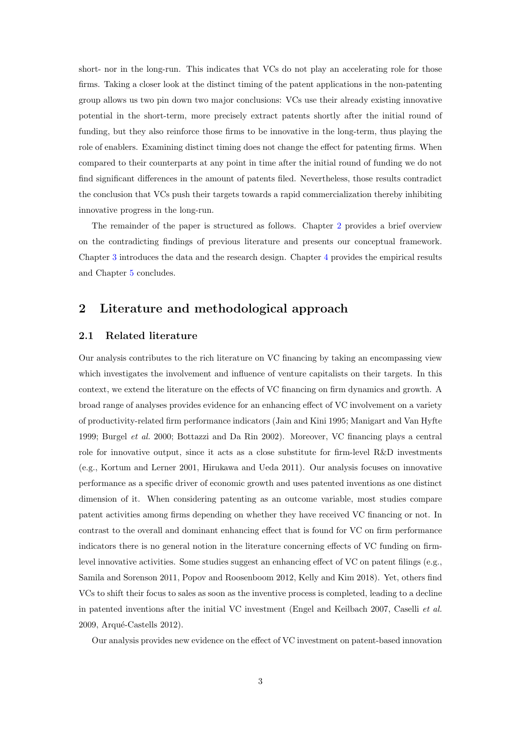short- nor in the long-run. This indicates that VCs do not play an accelerating role for those firms. Taking a closer look at the distinct timing of the patent applications in the non-patenting group allows us two pin down two major conclusions: VCs use their already existing innovative potential in the short-term, more precisely extract patents shortly after the initial round of funding, but they also reinforce those firms to be innovative in the long-term, thus playing the role of enablers. Examining distinct timing does not change the effect for patenting firms. When compared to their counterparts at any point in time after the initial round of funding we do not find significant differences in the amount of patents filed. Nevertheless, those results contradict the conclusion that VCs push their targets towards a rapid commercialization thereby inhibiting innovative progress in the long-run.

The remainder of the paper is structured as follows. Chapter [2](#page-3-0) provides a brief overview on the contradicting findings of previous literature and presents our conceptual framework. Chapter [3](#page-7-0) introduces the data and the research design. Chapter [4](#page-13-0) provides the empirical results and Chapter [5](#page-17-0) concludes.

# <span id="page-3-0"></span>2 Literature and methodological approach

#### 2.1 Related literature

Our analysis contributes to the rich literature on VC financing by taking an encompassing view which investigates the involvement and influence of venture capitalists on their targets. In this context, we extend the literature on the effects of VC financing on firm dynamics and growth. A broad range of analyses provides evidence for an enhancing effect of VC involvement on a variety of productivity-related firm performance indicators [\(Jain and Kini](#page-19-10) [1995;](#page-19-10) [Manigart and Van Hyfte](#page-19-11) [1999;](#page-19-11) [Burgel](#page-18-9) et al. [2000;](#page-18-9) [Bottazzi and Da Rin](#page-18-10) [2002\)](#page-18-10). Moreover, VC financing plays a central role for innovative output, since it acts as a close substitute for firm-level R&D investments (e.g., [Kortum and Lerner](#page-19-12) [2001,](#page-19-12) [Hirukawa and Ueda](#page-19-13) [2011\)](#page-19-13). Our analysis focuses on innovative performance as a specific driver of economic growth and uses patented inventions as one distinct dimension of it. When considering patenting as an outcome variable, most studies compare patent activities among firms depending on whether they have received VC financing or not. In contrast to the overall and dominant enhancing effect that is found for VC on firm performance indicators there is no general notion in the literature concerning effects of VC funding on firmlevel innovative activities. Some studies suggest an enhancing effect of VC on patent filings (e.g., [Samila and Sorenson](#page-19-5) [2011,](#page-19-5) [Popov and Roosenboom](#page-19-6) [2012,](#page-19-6) [Kelly and Kim](#page-19-7) [2018\)](#page-19-7). Yet, others find VCs to shift their focus to sales as soon as the inventive process is completed, leading to a decline in patented inventions after the initial VC investment [\(Engel and Keilbach](#page-18-5) [2007,](#page-18-5) [Caselli](#page-18-6) et al. [2009,](#page-18-6) Arqué-Castells [2012\)](#page-18-7).

Our analysis provides new evidence on the effect of VC investment on patent-based innovation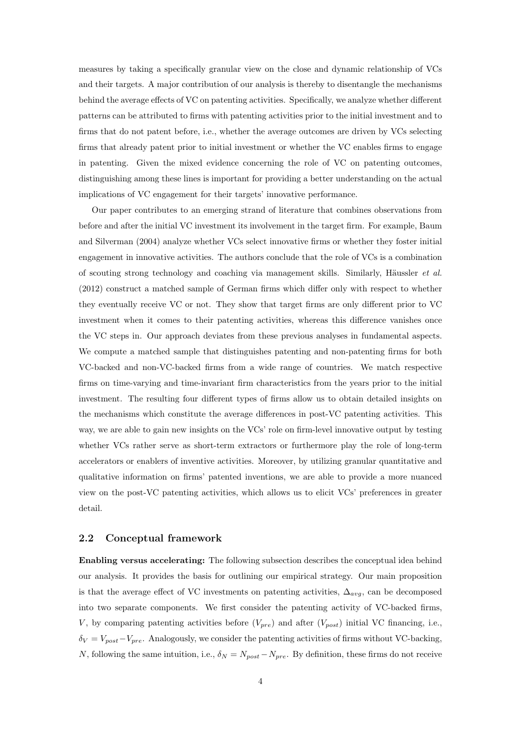measures by taking a specifically granular view on the close and dynamic relationship of VCs and their targets. A major contribution of our analysis is thereby to disentangle the mechanisms behind the average effects of VC on patenting activities. Specifically, we analyze whether different patterns can be attributed to firms with patenting activities prior to the initial investment and to firms that do not patent before, i.e., whether the average outcomes are driven by VCs selecting firms that already patent prior to initial investment or whether the VC enables firms to engage in patenting. Given the mixed evidence concerning the role of VC on patenting outcomes, distinguishing among these lines is important for providing a better understanding on the actual implications of VC engagement for their targets' innovative performance.

Our paper contributes to an emerging strand of literature that combines observations from before and after the initial VC investment its involvement in the target firm. For example, [Baum](#page-18-11) [and Silverman](#page-18-11) [\(2004\)](#page-18-11) analyze whether VCs select innovative firms or whether they foster initial engagement in innovative activities. The authors conclude that the role of VCs is a combination of scouting strong technology and coaching via management skills. Similarly, Häussler *et al.* [\(2012\)](#page-19-3) construct a matched sample of German firms which differ only with respect to whether they eventually receive VC or not. They show that target firms are only different prior to VC investment when it comes to their patenting activities, whereas this difference vanishes once the VC steps in. Our approach deviates from these previous analyses in fundamental aspects. We compute a matched sample that distinguishes patenting and non-patenting firms for both VC-backed and non-VC-backed firms from a wide range of countries. We match respective firms on time-varying and time-invariant firm characteristics from the years prior to the initial investment. The resulting four different types of firms allow us to obtain detailed insights on the mechanisms which constitute the average differences in post-VC patenting activities. This way, we are able to gain new insights on the VCs' role on firm-level innovative output by testing whether VCs rather serve as short-term extractors or furthermore play the role of long-term accelerators or enablers of inventive activities. Moreover, by utilizing granular quantitative and qualitative information on firms' patented inventions, we are able to provide a more nuanced view on the post-VC patenting activities, which allows us to elicit VCs' preferences in greater detail.

#### <span id="page-4-0"></span>2.2 Conceptual framework

Enabling versus accelerating: The following subsection describes the conceptual idea behind our analysis. It provides the basis for outlining our empirical strategy. Our main proposition is that the average effect of VC investments on patenting activities,  $\Delta_{ava}$ , can be decomposed into two separate components. We first consider the patenting activity of VC-backed firms, V, by comparing patenting activities before  $(V_{pre})$  and after  $(V_{post})$  initial VC financing, i.e.,  $\delta_V = V_{post} - V_{pre}$ . Analogously, we consider the patenting activities of firms without VC-backing, N, following the same intuition, i.e.,  $\delta_N = N_{post} - N_{pre}$ . By definition, these firms do not receive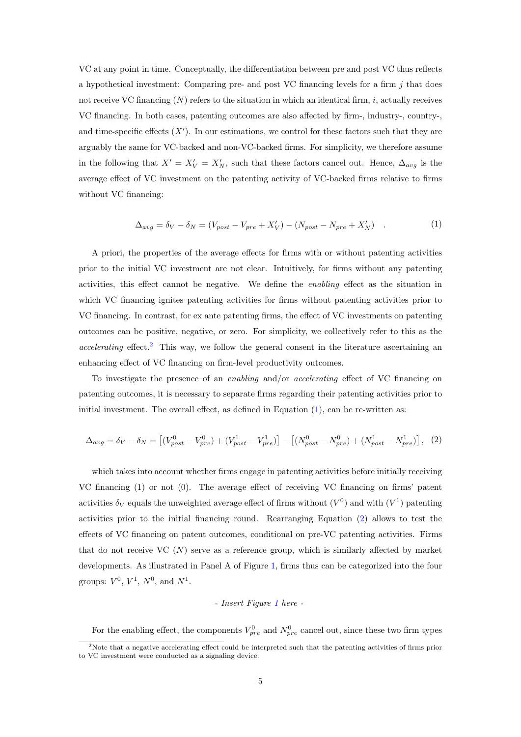VC at any point in time. Conceptually, the differentiation between pre and post VC thus reflects a hypothetical investment: Comparing pre- and post VC financing levels for a firm  $j$  that does not receive VC financing  $(N)$  refers to the situation in which an identical firm, i, actually receives VC financing. In both cases, patenting outcomes are also affected by firm-, industry-, country-, and time-specific effects  $(X')$ . In our estimations, we control for these factors such that they are arguably the same for VC-backed and non-VC-backed firms. For simplicity, we therefore assume in the following that  $X' = X'_{V} = X'_{N}$ , such that these factors cancel out. Hence,  $\Delta_{avg}$  is the average effect of VC investment on the patenting activity of VC-backed firms relative to firms without VC financing:

<span id="page-5-1"></span>
$$
\Delta_{avg} = \delta_V - \delta_N = (V_{post} - V_{pre} + X'_V) - (N_{post} - N_{pre} + X'_N) \quad . \tag{1}
$$

A priori, the properties of the average effects for firms with or without patenting activities prior to the initial VC investment are not clear. Intuitively, for firms without any patenting activities, this effect cannot be negative. We define the enabling effect as the situation in which VC financing ignites patenting activities for firms without patenting activities prior to VC financing. In contrast, for ex ante patenting firms, the effect of VC investments on patenting outcomes can be positive, negative, or zero. For simplicity, we collectively refer to this as the  $accelerating effect.<sup>2</sup>$  $accelerating effect.<sup>2</sup>$  $accelerating effect.<sup>2</sup>$  This way, we follow the general consent in the literature ascertaining an enhancing effect of VC financing on firm-level productivity outcomes.

To investigate the presence of an enabling and/or accelerating effect of VC financing on patenting outcomes, it is necessary to separate firms regarding their patenting activities prior to initial investment. The overall effect, as defined in Equation  $(1)$ , can be re-written as:

$$
\Delta_{avg} = \delta_V - \delta_N = \left[ (V_{post}^0 - V_{pre}^0) + (V_{post}^1 - V_{pre}^1) \right] - \left[ (N_{post}^0 - N_{pre}^0) + (N_{post}^1 - N_{pre}^1) \right], (2)
$$

which takes into account whether firms engage in patenting activities before initially receiving VC financing (1) or not (0). The average effect of receiving VC financing on firms' patent activities  $\delta_V$  equals the unweighted average effect of firms without  $(V^0)$  and with  $(V^1)$  patenting activities prior to the initial financing round. Rearranging Equation [\(2\)](#page-5-2) allows to test the effects of VC financing on patent outcomes, conditional on pre-VC patenting activities. Firms that do not receive VC  $(N)$  serve as a reference group, which is similarly affected by market developments. As illustrated in Panel A of Figure [1,](#page-27-0) firms thus can be categorized into the four groups:  $V^0$ ,  $V^1$ ,  $N^0$ , and  $N^1$ .

#### <span id="page-5-2"></span>- Insert Figure [1](#page-27-0) here -

For the enabling effect, the components  $V_{pre}^0$  and  $N_{pre}^0$  cancel out, since these two firm types

<span id="page-5-0"></span><sup>&</sup>lt;sup>2</sup>Note that a negative accelerating effect could be interpreted such that the patenting activities of firms prior to VC investment were conducted as a signaling device.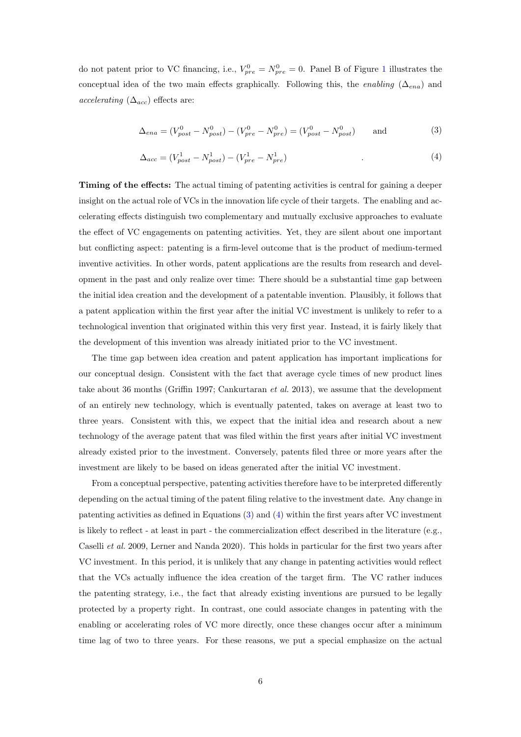do not patent prior to VC financing, i.e.,  $V_{pre}^0 = N_{pre}^0 = 0$ . Panel B of Figure [1](#page-27-0) illustrates the conceptual idea of the two main effects graphically. Following this, the enabling ( $\Delta_{ena}$ ) and accelerating  $(\Delta_{acc})$  effects are:

<span id="page-6-0"></span>
$$
\Delta_{ena} = (V_{post}^0 - N_{post}^0) - (V_{pre}^0 - N_{pre}^0) = (V_{post}^0 - N_{post}^0) \quad \text{and} \tag{3}
$$

<span id="page-6-1"></span>
$$
\Delta_{acc} = (V_{post}^1 - N_{post}^1) - (V_{pre}^1 - N_{pre}^1) \tag{4}
$$

Timing of the effects: The actual timing of patenting activities is central for gaining a deeper insight on the actual role of VCs in the innovation life cycle of their targets. The enabling and accelerating effects distinguish two complementary and mutually exclusive approaches to evaluate the effect of VC engagements on patenting activities. Yet, they are silent about one important but conflicting aspect: patenting is a firm-level outcome that is the product of medium-termed inventive activities. In other words, patent applications are the results from research and development in the past and only realize over time: There should be a substantial time gap between the initial idea creation and the development of a patentable invention. Plausibly, it follows that a patent application within the first year after the initial VC investment is unlikely to refer to a technological invention that originated within this very first year. Instead, it is fairly likely that the development of this invention was already initiated prior to the VC investment.

The time gap between idea creation and patent application has important implications for our conceptual design. Consistent with the fact that average cycle times of new product lines take about 36 months [\(Griffin](#page-18-12) [1997;](#page-18-12) [Cankurtaran](#page-18-13) et al. [2013\)](#page-18-13), we assume that the development of an entirely new technology, which is eventually patented, takes on average at least two to three years. Consistent with this, we expect that the initial idea and research about a new technology of the average patent that was filed within the first years after initial VC investment already existed prior to the investment. Conversely, patents filed three or more years after the investment are likely to be based on ideas generated after the initial VC investment.

From a conceptual perspective, patenting activities therefore have to be interpreted differently depending on the actual timing of the patent filing relative to the investment date. Any change in patenting activities as defined in Equations [\(3\)](#page-6-0) and [\(4\)](#page-6-1) within the first years after VC investment is likely to reflect - at least in part - the commercialization effect described in the literature (e.g., [Caselli](#page-18-6) et al. [2009,](#page-18-6) [Lerner and Nanda](#page-19-14) [2020\)](#page-19-14). This holds in particular for the first two years after VC investment. In this period, it is unlikely that any change in patenting activities would reflect that the VCs actually influence the idea creation of the target firm. The VC rather induces the patenting strategy, i.e., the fact that already existing inventions are pursued to be legally protected by a property right. In contrast, one could associate changes in patenting with the enabling or accelerating roles of VC more directly, once these changes occur after a minimum time lag of two to three years. For these reasons, we put a special emphasize on the actual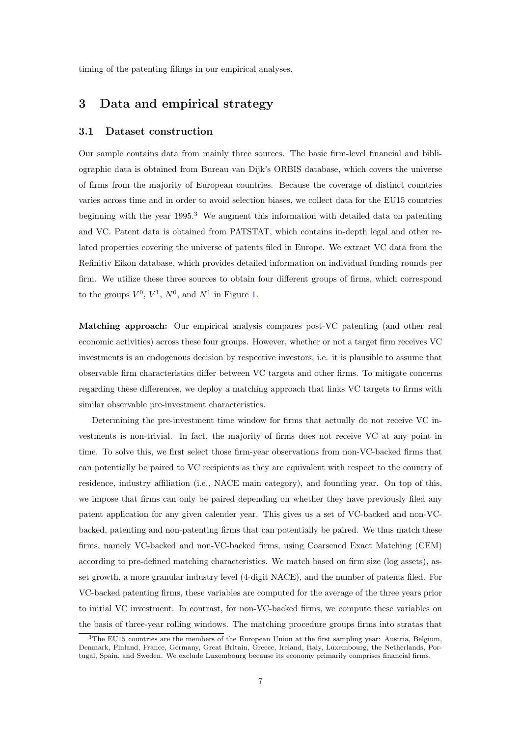timing of the patenting filings in our empirical analyses.

# <span id="page-7-0"></span>3 Data and empirical strategy

#### <span id="page-7-2"></span>3.1 Dataset construction

Our sample contains data from mainly three sources. The basic firm-level financial and bibliographic data is obtained from Bureau van Dijk's ORBIS database, which covers the universe of firms from the majority of European countries. Because the coverage of distinct countries varies across time and in order to avoid selection biases, we collect data for the EU15 countries beginning with the year  $1995<sup>3</sup>$  $1995<sup>3</sup>$  $1995<sup>3</sup>$  We augment this information with detailed data on patenting and VC. Patent data is obtained from PATSTAT, which contains in-depth legal and other related properties covering the universe of patents filed in Europe. We extract VC data from the Refinitiv Eikon database, which provides detailed information on individual funding rounds per firm. We utilize these three sources to obtain four different groups of firms, which correspond to the groups  $V^0$ ,  $V^1$ ,  $N^0$ , and  $N^1$  in Figure [1.](#page-27-0)

Matching approach: Our empirical analysis compares post-VC patenting (and other real economic activities) across these four groups. However, whether or not a target firm receives VC investments is an endogenous decision by respective investors, i.e. it is plausible to assume that observable firm characteristics differ between VC targets and other firms. To mitigate concerns regarding these differences, we deploy a matching approach that links VC targets to firms with similar observable pre-investment characteristics.

Determining the pre-investment time window for firms that actually do not receive VC investments is non-trivial. In fact, the majority of firms does not receive VC at any point in time. To solve this, we first select those firm-year observations from non-VC-backed firms that can potentially be paired to VC recipients as they are equivalent with respect to the country of residence, industry affiliation (i.e., NACE main category), and founding year. On top of this, we impose that firms can only be paired depending on whether they have previously filed any patent application for any given calender year. This gives us a set of VC-backed and non-VCbacked, patenting and non-patenting firms that can potentially be paired. We thus match these firms, namely VC-backed and non-VC-backed firms, using Coarsened Exact Matching (CEM) according to pre-defined matching characteristics. We match based on firm size (log assets), asset growth, a more granular industry level (4-digit NACE), and the number of patents filed. For VC-backed patenting firms, these variables are computed for the average of the three years prior to initial VC investment. In contrast, for non-VC-backed firms, we compute these variables on the basis of three-year rolling windows. The matching procedure groups firms into stratas that

<span id="page-7-1"></span><sup>3</sup>The EU15 countries are the members of the European Union at the first sampling year: Austria, Belgium, Denmark, Finland, France, Germany, Great Britain, Greece, Ireland, Italy, Luxembourg, the Netherlands, Portugal, Spain, and Sweden. We exclude Luxembourg because its economy primarily comprises financial firms.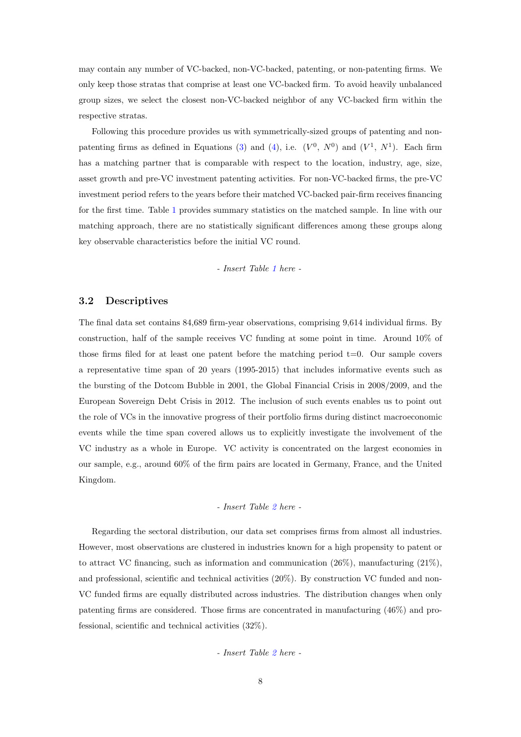may contain any number of VC-backed, non-VC-backed, patenting, or non-patenting firms. We only keep those stratas that comprise at least one VC-backed firm. To avoid heavily unbalanced group sizes, we select the closest non-VC-backed neighbor of any VC-backed firm within the respective stratas.

Following this procedure provides us with symmetrically-sized groups of patenting and non-patenting firms as defined in Equations [\(3\)](#page-6-0) and [\(4\)](#page-6-1), i.e.  $(V^0, N^0)$  and  $(V^1, N^1)$ . Each firm has a matching partner that is comparable with respect to the location, industry, age, size, asset growth and pre-VC investment patenting activities. For non-VC-backed firms, the pre-VC investment period refers to the years before their matched VC-backed pair-firm receives financing for the first time. Table [1](#page-21-0) provides summary statistics on the matched sample. In line with our matching approach, there are no statistically significant differences among these groups along key observable characteristics before the initial VC round.

- Insert Table [1](#page-21-0) here -

#### 3.2 Descriptives

The final data set contains 84,689 firm-year observations, comprising 9,614 individual firms. By construction, half of the sample receives VC funding at some point in time. Around 10% of those firms filed for at least one patent before the matching period  $t=0$ . Our sample covers a representative time span of 20 years (1995-2015) that includes informative events such as the bursting of the Dotcom Bubble in 2001, the Global Financial Crisis in 2008/2009, and the European Sovereign Debt Crisis in 2012. The inclusion of such events enables us to point out the role of VCs in the innovative progress of their portfolio firms during distinct macroeconomic events while the time span covered allows us to explicitly investigate the involvement of the VC industry as a whole in Europe. VC activity is concentrated on the largest economies in our sample, e.g., around 60% of the firm pairs are located in Germany, France, and the United Kingdom.

#### - Insert Table [2](#page-22-0) here -

Regarding the sectoral distribution, our data set comprises firms from almost all industries. However, most observations are clustered in industries known for a high propensity to patent or to attract VC financing, such as information and communication  $(26\%)$ , manufacturing  $(21\%)$ , and professional, scientific and technical activities (20%). By construction VC funded and non-VC funded firms are equally distributed across industries. The distribution changes when only patenting firms are considered. Those firms are concentrated in manufacturing (46%) and professional, scientific and technical activities (32%).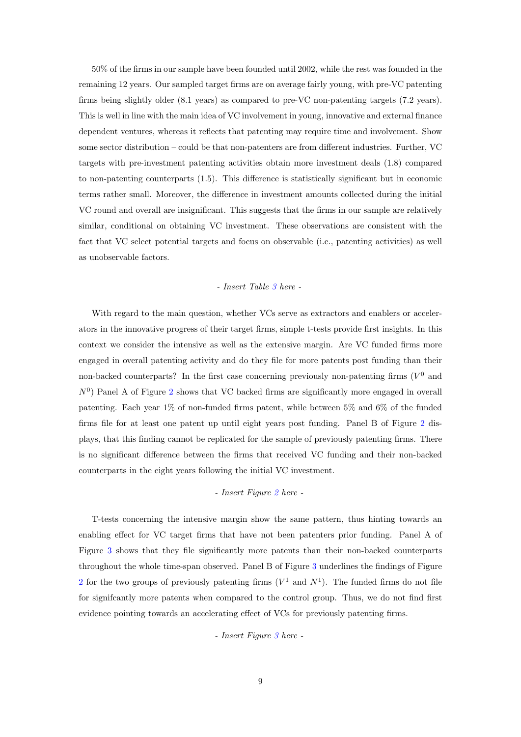50% of the firms in our sample have been founded until 2002, while the rest was founded in the remaining 12 years. Our sampled target firms are on average fairly young, with pre-VC patenting firms being slightly older (8.1 years) as compared to pre-VC non-patenting targets (7.2 years). This is well in line with the main idea of VC involvement in young, innovative and external finance dependent ventures, whereas it reflects that patenting may require time and involvement. Show some sector distribution – could be that non-patenters are from different industries. Further, VC targets with pre-investment patenting activities obtain more investment deals (1.8) compared to non-patenting counterparts (1.5). This difference is statistically significant but in economic terms rather small. Moreover, the difference in investment amounts collected during the initial VC round and overall are insignificant. This suggests that the firms in our sample are relatively similar, conditional on obtaining VC investment. These observations are consistent with the fact that VC select potential targets and focus on observable (i.e., patenting activities) as well as unobservable factors.

#### - Insert Table [3](#page-22-1) here -

With regard to the main question, whether VCs serve as extractors and enablers or accelerators in the innovative progress of their target firms, simple t-tests provide first insights. In this context we consider the intensive as well as the extensive margin. Are VC funded firms more engaged in overall patenting activity and do they file for more patents post funding than their non-backed counterparts? In the first case concerning previously non-patenting firms  $(V<sup>0</sup>$  and  $N^0$ ) Panel A of Figure [2](#page-28-0) shows that VC backed firms are significantly more engaged in overall patenting. Each year 1% of non-funded firms patent, while between 5% and 6% of the funded firms file for at least one patent up until eight years post funding. Panel B of Figure [2](#page-28-0) displays, that this finding cannot be replicated for the sample of previously patenting firms. There is no significant difference between the firms that received VC funding and their non-backed counterparts in the eight years following the initial VC investment.

#### - Insert Figure [2](#page-28-0) here -

T-tests concerning the intensive margin show the same pattern, thus hinting towards an enabling effect for VC target firms that have not been patenters prior funding. Panel A of Figure [3](#page-29-0) shows that they file significantly more patents than their non-backed counterparts throughout the whole time-span observed. Panel B of Figure [3](#page-29-0) underlines the findings of Figure [2](#page-28-0) for the two groups of previously patenting firms  $(V^1$  and  $N^1)$ . The funded firms do not file for signifcantly more patents when compared to the control group. Thus, we do not find first evidence pointing towards an accelerating effect of VCs for previously patenting firms.

- Insert Figure [3](#page-29-0) here -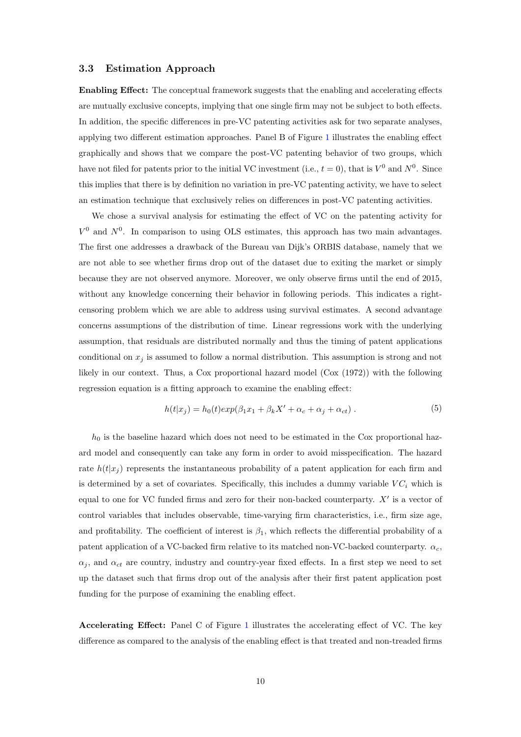#### <span id="page-10-0"></span>3.3 Estimation Approach

Enabling Effect: The conceptual framework suggests that the enabling and accelerating effects are mutually exclusive concepts, implying that one single firm may not be subject to both effects. In addition, the specific differences in pre-VC patenting activities ask for two separate analyses, applying two different estimation approaches. Panel B of Figure [1](#page-27-0) illustrates the enabling effect graphically and shows that we compare the post-VC patenting behavior of two groups, which have not filed for patents prior to the initial VC investment (i.e.,  $t = 0$ ), that is  $V^0$  and  $N^0$ . Since this implies that there is by definition no variation in pre-VC patenting activity, we have to select an estimation technique that exclusively relies on differences in post-VC patenting activities.

We chose a survival analysis for estimating the effect of VC on the patenting activity for  $V^0$  and  $N^0$ . In comparison to using OLS estimates, this approach has two main advantages. The first one addresses a drawback of the Bureau van Dijk's ORBIS database, namely that we are not able to see whether firms drop out of the dataset due to exiting the market or simply because they are not observed anymore. Moreover, we only observe firms until the end of 2015, without any knowledge concerning their behavior in following periods. This indicates a rightcensoring problem which we are able to address using survival estimates. A second advantage concerns assumptions of the distribution of time. Linear regressions work with the underlying assumption, that residuals are distributed normally and thus the timing of patent applications conditional on  $x_j$  is assumed to follow a normal distribution. This assumption is strong and not likely in our context. Thus, a Cox proportional hazard model [\(Cox](#page-18-14) [\(1972\)](#page-18-14)) with the following regression equation is a fitting approach to examine the enabling effect:

$$
h(t|x_j) = h_0(t)exp(\beta_1 x_1 + \beta_k X' + \alpha_c + \alpha_j + \alpha_{ct}).
$$
\n(5)

 $h_0$  is the baseline hazard which does not need to be estimated in the Cox proportional hazard model and consequently can take any form in order to avoid misspecification. The hazard rate  $h(t|x_i)$  represents the instantaneous probability of a patent application for each firm and is determined by a set of covariates. Specifically, this includes a dummy variable  $VC_i$  which is equal to one for VC funded firms and zero for their non-backed counterparty.  $X'$  is a vector of control variables that includes observable, time-varying firm characteristics, i.e., firm size age, and profitability. The coefficient of interest is  $\beta_1$ , which reflects the differential probability of a patent application of a VC-backed firm relative to its matched non-VC-backed counterparty.  $\alpha_c$ ,  $\alpha_i$ , and  $\alpha_{ct}$  are country, industry and country-year fixed effects. In a first step we need to set up the dataset such that firms drop out of the analysis after their first patent application post funding for the purpose of examining the enabling effect.

Accelerating Effect: Panel C of Figure [1](#page-27-0) illustrates the accelerating effect of VC. The key difference as compared to the analysis of the enabling effect is that treated and non-treaded firms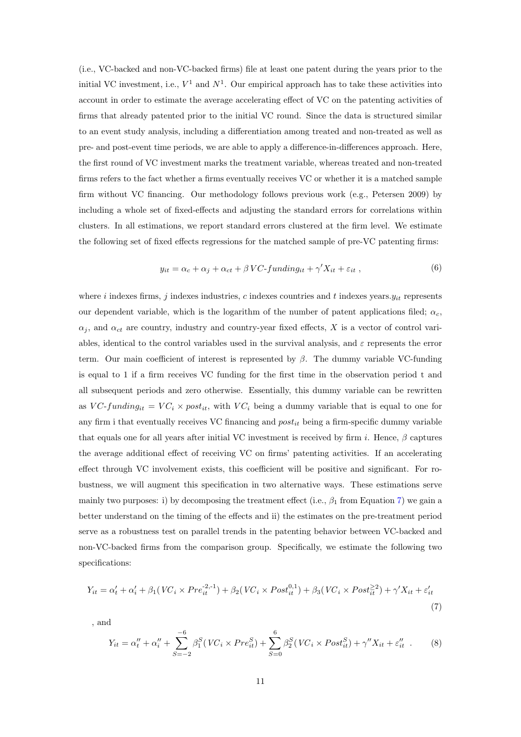(i.e., VC-backed and non-VC-backed firms) file at least one patent during the years prior to the initial VC investment, i.e.,  $V^1$  and  $N^1$ . Our empirical approach has to take these activities into account in order to estimate the average accelerating effect of VC on the patenting activities of firms that already patented prior to the initial VC round. Since the data is structured similar to an event study analysis, including a differentiation among treated and non-treated as well as pre- and post-event time periods, we are able to apply a difference-in-differences approach. Here, the first round of VC investment marks the treatment variable, whereas treated and non-treated firms refers to the fact whether a firms eventually receives VC or whether it is a matched sample firm without VC financing. Our methodology follows previous work (e.g., [Petersen](#page-19-15) [2009\)](#page-19-15) by including a whole set of fixed-effects and adjusting the standard errors for correlations within clusters. In all estimations, we report standard errors clustered at the firm level. We estimate the following set of fixed effects regressions for the matched sample of pre-VC patenting firms:

<span id="page-11-2"></span>
$$
y_{it} = \alpha_c + \alpha_j + \alpha_{ct} + \beta \, VC\text{-}funding_{it} + \gamma' X_{it} + \varepsilon_{it} \,,\tag{6}
$$

where  $i$  indexes firms,  $j$  indexes industries,  $c$  indexes countries and  $t$  indexes years. $y_{it}$  represents our dependent variable, which is the logarithm of the number of patent applications filed;  $\alpha_c$ ,  $\alpha_j$ , and  $\alpha_{ct}$  are country, industry and country-year fixed effects, X is a vector of control variables, identical to the control variables used in the survival analysis, and  $\varepsilon$  represents the error term. Our main coefficient of interest is represented by  $\beta$ . The dummy variable VC-funding is equal to 1 if a firm receives VC funding for the first time in the observation period t and all subsequent periods and zero otherwise. Essentially, this dummy variable can be rewritten as VC-funding<sub>it</sub> =  $VC_i \times post_{it}$ , with  $VC_i$  being a dummy variable that is equal to one for any firm i that eventually receives VC financing and  $post_{it}$  being a firm-specific dummy variable that equals one for all years after initial VC investment is received by firm i. Hence,  $\beta$  captures the average additional effect of receiving VC on firms' patenting activities. If an accelerating effect through VC involvement exists, this coefficient will be positive and significant. For robustness, we will augment this specification in two alternative ways. These estimations serve mainly two purposes: i) by decomposing the treatment effect (i.e.,  $\beta_1$  from Equation [7\)](#page-11-0) we gain a better understand on the timing of the effects and ii) the estimates on the pre-treatment period serve as a robustness test on parallel trends in the patenting behavior between VC-backed and non-VC-backed firms from the comparison group. Specifically, we estimate the following two specifications:

$$
Y_{it} = \alpha'_t + \alpha'_i + \beta_1 (VC_i \times Pre_{it}^{-2,-1}) + \beta_2 (VC_i \times Post_{it}^{0,1}) + \beta_3 (VC_i \times Post_{it}^{\geq 2}) + \gamma' X_{it} + \varepsilon'_{it}
$$
\n(7)

, and

<span id="page-11-1"></span><span id="page-11-0"></span>
$$
Y_{it} = \alpha''_t + \alpha''_i + \sum_{S=-2}^{-6} \beta_1^S (VC_i \times Pre_{it}^S) + \sum_{S=0}^{6} \beta_2^S (VC_i \times Post_{it}^S) + \gamma'' X_{it} + \varepsilon''_{it} \tag{8}
$$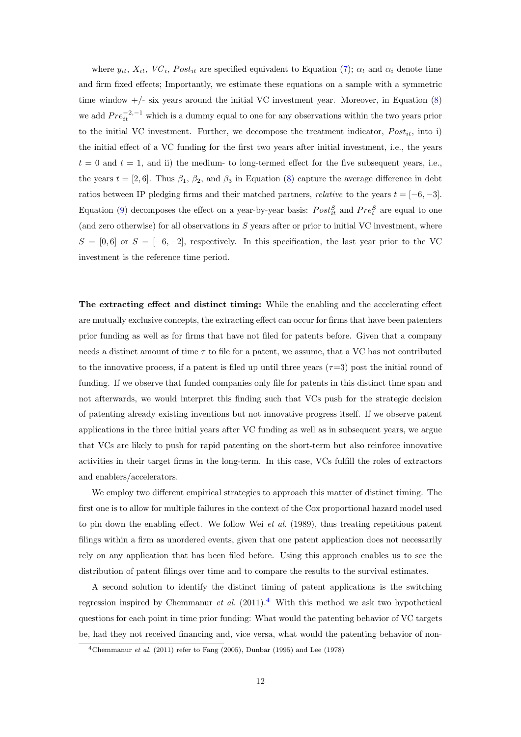where  $y_{it}$ ,  $X_{it}$ ,  $VC_i$ ,  $Post_{it}$  are specified equivalent to Equation [\(7\)](#page-11-0);  $\alpha_t$  and  $\alpha_i$  denote time and firm fixed effects; Importantly, we estimate these equations on a sample with a symmetric time window  $+/-$  six years around the initial VC investment year. Moreover, in Equation  $(8)$ we add  $Pre_{it}^{-2,-1}$  which is a dummy equal to one for any observations within the two years prior to the initial VC investment. Further, we decompose the treatment indicator,  $Post_{it}$ , into i) the initial effect of a VC funding for the first two years after initial investment, i.e., the years  $t = 0$  and  $t = 1$ , and ii) the medium- to long-termed effect for the five subsequent years, i.e., the years  $t = [2, 6]$ . Thus  $\beta_1$ ,  $\beta_2$ , and  $\beta_3$  in Equation [\(8\)](#page-11-1) capture the average difference in debt ratios between IP pledging firms and their matched partners, *relative* to the years  $t = [-6, -3]$ . Equation [\(9\)](#page-0-0) decomposes the effect on a year-by-year basis:  $Post_{it}^{S}$  and  $Pre_{t}^{S}$  are equal to one (and zero otherwise) for all observations in  $S$  years after or prior to initial VC investment, where  $S = [0, 6]$  or  $S = [-6, -2]$ , respectively. In this specification, the last year prior to the VC investment is the reference time period.

The extracting effect and distinct timing: While the enabling and the accelerating effect are mutually exclusive concepts, the extracting effect can occur for firms that have been patenters prior funding as well as for firms that have not filed for patents before. Given that a company needs a distinct amount of time  $\tau$  to file for a patent, we assume, that a VC has not contributed to the innovative process, if a patent is filed up until three years  $(\tau=3)$  post the initial round of funding. If we observe that funded companies only file for patents in this distinct time span and not afterwards, we would interpret this finding such that VCs push for the strategic decision of patenting already existing inventions but not innovative progress itself. If we observe patent applications in the three initial years after VC funding as well as in subsequent years, we argue that VCs are likely to push for rapid patenting on the short-term but also reinforce innovative activities in their target firms in the long-term. In this case, VCs fulfill the roles of extractors and enablers/accelerators.

We employ two different empirical strategies to approach this matter of distinct timing. The first one is to allow for multiple failures in the context of the Cox proportional hazard model used to pin down the enabling effect. We follow Wei [et al.](#page-20-1) [\(1989\)](#page-20-1), thus treating repetitious patent filings within a firm as unordered events, given that one patent application does not necessarily rely on any application that has been filed before. Using this approach enables us to see the distribution of patent filings over time and to compare the results to the survival estimates.

A second solution to identify the distinct timing of patent applications is the switching regression inspired by [Chemmanur](#page-18-8) et al.  $(2011).<sup>4</sup>$  $(2011).<sup>4</sup>$  $(2011).<sup>4</sup>$  $(2011).<sup>4</sup>$  With this method we ask two hypothetical questions for each point in time prior funding: What would the patenting behavior of VC targets be, had they not received financing and, vice versa, what would the patenting behavior of non-

<span id="page-12-0"></span><sup>&</sup>lt;sup>4</sup>[Chemmanur](#page-18-8) *et al.* [\(2011\)](#page-18-8) refer to [Fang](#page-18-15) [\(2005\)](#page-18-15), [Dunbar](#page-18-16) [\(1995\)](#page-18-16) and [Lee](#page-19-16) [\(1978\)](#page-19-16)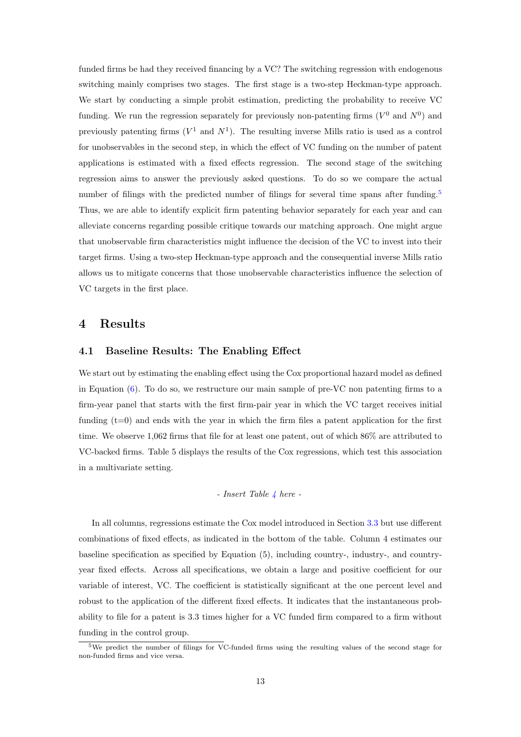funded firms be had they received financing by a VC? The switching regression with endogenous switching mainly comprises two stages. The first stage is a two-step Heckman-type approach. We start by conducting a simple probit estimation, predicting the probability to receive VC funding. We run the regression separately for previously non-patenting firms  $(V^0$  and  $N^0)$  and previously patenting firms  $(V^1$  and  $N^1)$ . The resulting inverse Mills ratio is used as a control for unobservables in the second step, in which the effect of VC funding on the number of patent applications is estimated with a fixed effects regression. The second stage of the switching regression aims to answer the previously asked questions. To do so we compare the actual number of filings with the predicted number of filings for several time spans after funding.<sup>[5](#page-13-1)</sup> Thus, we are able to identify explicit firm patenting behavior separately for each year and can alleviate concerns regarding possible critique towards our matching approach. One might argue that unobservable firm characteristics might influence the decision of the VC to invest into their target firms. Using a two-step Heckman-type approach and the consequential inverse Mills ratio allows us to mitigate concerns that those unobservable characteristics influence the selection of VC targets in the first place.

### <span id="page-13-0"></span>4 Results

#### 4.1 Baseline Results: The Enabling Effect

We start out by estimating the enabling effect using the Cox proportional hazard model as defined in Equation [\(6\)](#page-11-2). To do so, we restructure our main sample of pre-VC non patenting firms to a firm-year panel that starts with the first firm-pair year in which the VC target receives initial funding  $(t=0)$  and ends with the year in which the firm files a patent application for the first time. We observe 1,062 firms that file for at least one patent, out of which 86% are attributed to VC-backed firms. Table 5 displays the results of the Cox regressions, which test this association in a multivariate setting.

#### $-$  Insert Table [4](#page-23-0) here  $-$

In all columns, regressions estimate the Cox model introduced in Section [3.3](#page-10-0) but use different combinations of fixed effects, as indicated in the bottom of the table. Column 4 estimates our baseline specification as specified by Equation (5), including country-, industry-, and countryyear fixed effects. Across all specifications, we obtain a large and positive coefficient for our variable of interest, VC. The coefficient is statistically significant at the one percent level and robust to the application of the different fixed effects. It indicates that the instantaneous probability to file for a patent is 3.3 times higher for a VC funded firm compared to a firm without funding in the control group.

<span id="page-13-1"></span> $5$ We predict the number of filings for VC-funded firms using the resulting values of the second stage for non-funded firms and vice versa.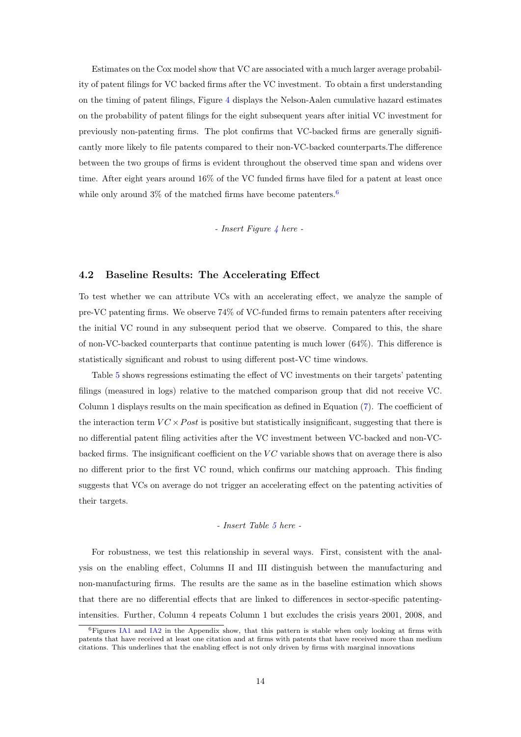Estimates on the Cox model show that VC are associated with a much larger average probability of patent filings for VC backed firms after the VC investment. To obtain a first understanding on the timing of patent filings, Figure [4](#page-30-0) displays the Nelson-Aalen cumulative hazard estimates on the probability of patent filings for the eight subsequent years after initial VC investment for previously non-patenting firms. The plot confirms that VC-backed firms are generally significantly more likely to file patents compared to their non-VC-backed counterparts.The difference between the two groups of firms is evident throughout the observed time span and widens over time. After eight years around 16% of the VC funded firms have filed for a patent at least once while only around  $3\%$  of the matched firms have become patenters.<sup>[6](#page-14-0)</sup>

#### $-$  Insert Figure [4](#page-30-0) here  $-$

#### 4.2 Baseline Results: The Accelerating Effect

To test whether we can attribute VCs with an accelerating effect, we analyze the sample of pre-VC patenting firms. We observe 74% of VC-funded firms to remain patenters after receiving the initial VC round in any subsequent period that we observe. Compared to this, the share of non-VC-backed counterparts that continue patenting is much lower (64%). This difference is statistically significant and robust to using different post-VC time windows.

Table [5](#page-24-0) shows regressions estimating the effect of VC investments on their targets' patenting filings (measured in logs) relative to the matched comparison group that did not receive VC. Column 1 displays results on the main specification as defined in Equation [\(7\)](#page-11-0). The coefficient of the interaction term  $VC \times Post$  is positive but statistically insignificant, suggesting that there is no differential patent filing activities after the VC investment between VC-backed and non-VCbacked firms. The insignificant coefficient on the  $VC$  variable shows that on average there is also no different prior to the first VC round, which confirms our matching approach. This finding suggests that VCs on average do not trigger an accelerating effect on the patenting activities of their targets.

#### - Insert Table [5](#page-24-0) here -

For robustness, we test this relationship in several ways. First, consistent with the analysis on the enabling effect, Columns II and III distinguish between the manufacturing and non-manufacturing firms. The results are the same as in the baseline estimation which shows that there are no differential effects that are linked to differences in sector-specific patentingintensities. Further, Column 4 repeats Column 1 but excludes the crisis years 2001, 2008, and

<span id="page-14-0"></span><sup>6</sup>Figures [IA1](#page-32-0) and [IA2](#page-32-1) in the Appendix show, that this pattern is stable when only looking at firms with patents that have received at least one citation and at firms with patents that have received more than medium citations. This underlines that the enabling effect is not only driven by firms with marginal innovations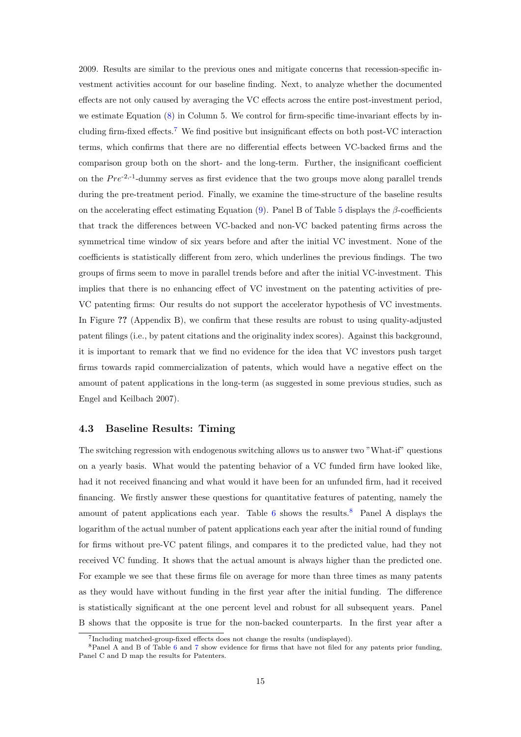2009. Results are similar to the previous ones and mitigate concerns that recession-specific investment activities account for our baseline finding. Next, to analyze whether the documented effects are not only caused by averaging the VC effects across the entire post-investment period, we estimate Equation [\(8\)](#page-11-1) in Column 5. We control for firm-specific time-invariant effects by including firm-fixed effects.[7](#page-15-0) We find positive but insignificant effects on both post-VC interaction terms, which confirms that there are no differential effects between VC-backed firms and the comparison group both on the short- and the long-term. Further, the insignificant coefficient on the  $Pre^{-2,-1}$ -dummy serves as first evidence that the two groups move along parallel trends during the pre-treatment period. Finally, we examine the time-structure of the baseline results on the accelerating effect estimating Equation [\(9\)](#page-0-0). Panel B of Table [5](#page-24-0) displays the  $\beta$ -coefficients that track the differences between VC-backed and non-VC backed patenting firms across the symmetrical time window of six years before and after the initial VC investment. None of the coefficients is statistically different from zero, which underlines the previous findings. The two groups of firms seem to move in parallel trends before and after the initial VC-investment. This implies that there is no enhancing effect of VC investment on the patenting activities of pre-VC patenting firms: Our results do not support the accelerator hypothesis of VC investments. In Figure ?? (Appendix B), we confirm that these results are robust to using quality-adjusted patent filings (i.e., by patent citations and the originality index scores). Against this background, it is important to remark that we find no evidence for the idea that VC investors push target firms towards rapid commercialization of patents, which would have a negative effect on the amount of patent applications in the long-term (as suggested in some previous studies, such as [Engel and Keilbach](#page-18-5) [2007\)](#page-18-5).

### 4.3 Baseline Results: Timing

The switching regression with endogenous switching allows us to answer two "What-if" questions on a yearly basis. What would the patenting behavior of a VC funded firm have looked like, had it not received financing and what would it have been for an unfunded firm, had it received financing. We firstly answer these questions for quantitative features of patenting, namely the amount of patent applications each year. Table [6](#page-25-0) shows the results.<sup>[8](#page-15-1)</sup> Panel A displays the logarithm of the actual number of patent applications each year after the initial round of funding for firms without pre-VC patent filings, and compares it to the predicted value, had they not received VC funding. It shows that the actual amount is always higher than the predicted one. For example we see that these firms file on average for more than three times as many patents as they would have without funding in the first year after the initial funding. The difference is statistically significant at the one percent level and robust for all subsequent years. Panel B shows that the opposite is true for the non-backed counterparts. In the first year after a

<span id="page-15-1"></span><span id="page-15-0"></span><sup>7</sup> Including matched-group-fixed effects does not change the results (undisplayed).

<sup>8</sup>Panel A and B of Table [6](#page-25-0) and [7](#page-26-0) show evidence for firms that have not filed for any patents prior funding, Panel C and D map the results for Patenters.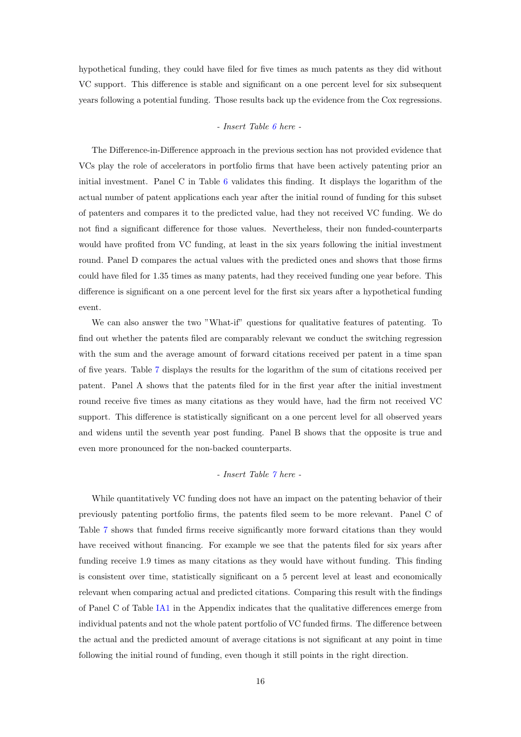hypothetical funding, they could have filed for five times as much patents as they did without VC support. This difference is stable and significant on a one percent level for six subsequent years following a potential funding. Those results back up the evidence from the Cox regressions.

#### - Insert Table [6](#page-25-0) here -

The Difference-in-Difference approach in the previous section has not provided evidence that VCs play the role of accelerators in portfolio firms that have been actively patenting prior an initial investment. Panel C in Table [6](#page-25-0) validates this finding. It displays the logarithm of the actual number of patent applications each year after the initial round of funding for this subset of patenters and compares it to the predicted value, had they not received VC funding. We do not find a significant difference for those values. Nevertheless, their non funded-counterparts would have profited from VC funding, at least in the six years following the initial investment round. Panel D compares the actual values with the predicted ones and shows that those firms could have filed for 1.35 times as many patents, had they received funding one year before. This difference is significant on a one percent level for the first six years after a hypothetical funding event.

We can also answer the two "What-if" questions for qualitative features of patenting. To find out whether the patents filed are comparably relevant we conduct the switching regression with the sum and the average amount of forward citations received per patent in a time span of five years. Table [7](#page-26-0) displays the results for the logarithm of the sum of citations received per patent. Panel A shows that the patents filed for in the first year after the initial investment round receive five times as many citations as they would have, had the firm not received VC support. This difference is statistically significant on a one percent level for all observed years and widens until the seventh year post funding. Panel B shows that the opposite is true and even more pronounced for the non-backed counterparts.

## - Insert Table [7](#page-26-0) here -

While quantitatively VC funding does not have an impact on the patenting behavior of their previously patenting portfolio firms, the patents filed seem to be more relevant. Panel C of Table [7](#page-26-0) shows that funded firms receive significantly more forward citations than they would have received without financing. For example we see that the patents filed for six years after funding receive 1.9 times as many citations as they would have without funding. This finding is consistent over time, statistically significant on a 5 percent level at least and economically relevant when comparing actual and predicted citations. Comparing this result with the findings of Panel C of Table [IA1](#page-31-0) in the Appendix indicates that the qualitative differences emerge from individual patents and not the whole patent portfolio of VC funded firms. The difference between the actual and the predicted amount of average citations is not significant at any point in time following the initial round of funding, even though it still points in the right direction.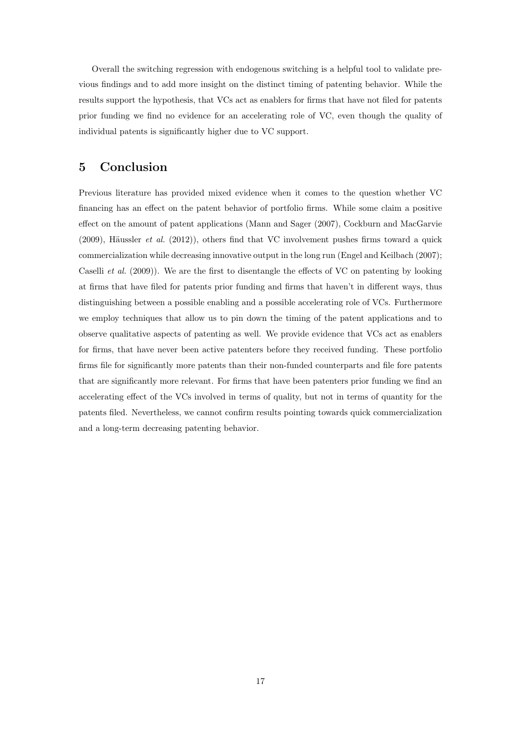Overall the switching regression with endogenous switching is a helpful tool to validate previous findings and to add more insight on the distinct timing of patenting behavior. While the results support the hypothesis, that VCs act as enablers for firms that have not filed for patents prior funding we find no evidence for an accelerating role of VC, even though the quality of individual patents is significantly higher due to VC support.

# <span id="page-17-0"></span>5 Conclusion

Previous literature has provided mixed evidence when it comes to the question whether VC financing has an effect on the patent behavior of portfolio firms. While some claim a positive effect on the amount of patent applications [\(Mann and Sager](#page-19-17) [\(2007\)](#page-19-17), [Cockburn and MacGarvie](#page-18-17)  $(2009)$ , Häussler *et al.*  $(2012)$ ), others find that VC involvement pushes firms toward a quick commercialization while decreasing innovative output in the long run [\(Engel and Keilbach](#page-18-5) [\(2007\)](#page-18-5); [Caselli](#page-18-6) et al. [\(2009\)](#page-18-6)). We are the first to disentangle the effects of VC on patenting by looking at firms that have filed for patents prior funding and firms that haven't in different ways, thus distinguishing between a possible enabling and a possible accelerating role of VCs. Furthermore we employ techniques that allow us to pin down the timing of the patent applications and to observe qualitative aspects of patenting as well. We provide evidence that VCs act as enablers for firms, that have never been active patenters before they received funding. These portfolio firms file for significantly more patents than their non-funded counterparts and file fore patents that are significantly more relevant. For firms that have been patenters prior funding we find an accelerating effect of the VCs involved in terms of quality, but not in terms of quantity for the patents filed. Nevertheless, we cannot confirm results pointing towards quick commercialization and a long-term decreasing patenting behavior.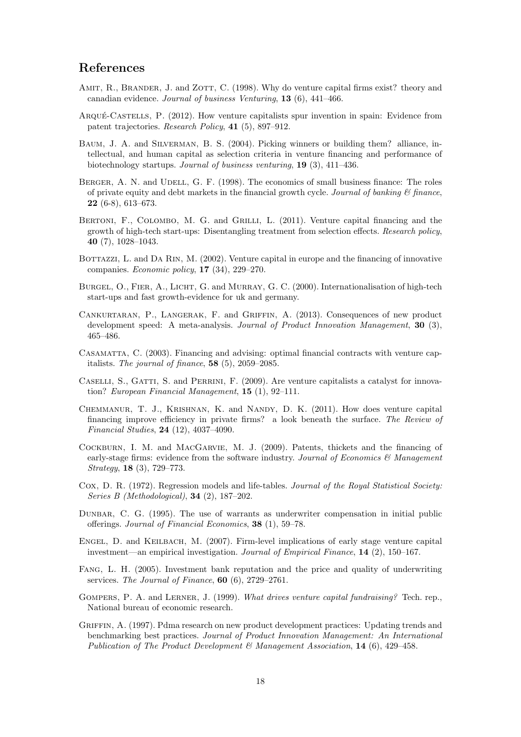## References

- <span id="page-18-0"></span>AMIT, R., BRANDER, J. and ZOTT, C. (1998). Why do venture capital firms exist? theory and canadian evidence. Journal of business Venturing, 13 (6), 441–466.
- <span id="page-18-7"></span>ARQUÉ-CASTELLS, P. (2012). How venture capitalists spur invention in spain: Evidence from patent trajectories. Research Policy, 41 (5), 897–912.
- <span id="page-18-11"></span>BAUM, J. A. and SILVERMAN, B. S. (2004). Picking winners or building them? alliance, intellectual, and human capital as selection criteria in venture financing and performance of biotechnology startups. Journal of business venturing, 19 (3), 411–436.
- <span id="page-18-1"></span>BERGER, A. N. and UDELL, G. F. (1998). The economics of small business finance: The roles of private equity and debt markets in the financial growth cycle. Journal of banking  $\mathcal{C}$  finance, 22 (6-8), 613–673.
- <span id="page-18-4"></span>BERTONI, F., COLOMBO, M. G. and GRILLI, L. (2011). Venture capital financing and the growth of high-tech start-ups: Disentangling treatment from selection effects. Research policy, 40 (7), 1028–1043.
- <span id="page-18-10"></span>BOTTAZZI, L. and DA RIN, M. (2002). Venture capital in europe and the financing of innovative companies. Economic policy, 17 (34), 229–270.
- <span id="page-18-9"></span>BURGEL, O., FIER, A., LICHT, G. and MURRAY, G. C. (2000). Internationalisation of high-tech start-ups and fast growth-evidence for uk and germany.
- <span id="page-18-13"></span>Cankurtaran, P., Langerak, F. and Griffin, A. (2013). Consequences of new product development speed: A meta-analysis. Journal of Product Innovation Management, 30 (3), 465–486.
- <span id="page-18-3"></span>Casamatta, C. (2003). Financing and advising: optimal financial contracts with venture capitalists. The journal of finance, 58 (5), 2059–2085.
- <span id="page-18-6"></span>CASELLI, S., GATTI, S. and PERRINI, F. (2009). Are venture capitalists a catalyst for innovation? European Financial Management, 15 (1), 92–111.
- <span id="page-18-8"></span>Chemmanur, T. J., Krishnan, K. and Nandy, D. K. (2011). How does venture capital financing improve efficiency in private firms? a look beneath the surface. The Review of Financial Studies, 24 (12), 4037–4090.
- <span id="page-18-17"></span>Cockburn, I. M. and MacGarvie, M. J. (2009). Patents, thickets and the financing of early-stage firms: evidence from the software industry. Journal of Economics & Management Strategy, 18 (3), 729–773.
- <span id="page-18-14"></span>Cox, D. R. (1972). Regression models and life-tables. *Journal of the Royal Statistical Society:* Series B (Methodological), 34 (2), 187–202.
- <span id="page-18-16"></span>Dunbar, C. G. (1995). The use of warrants as underwriter compensation in initial public offerings. Journal of Financial Economics, 38 (1), 59–78.
- <span id="page-18-5"></span>Engel, D. and Keilbach, M. (2007). Firm-level implications of early stage venture capital investment—an empirical investigation. Journal of Empirical Finance, 14 (2), 150–167.
- <span id="page-18-15"></span>Fang, L. H. (2005). Investment bank reputation and the price and quality of underwriting services. The Journal of Finance, 60 (6), 2729–2761.
- <span id="page-18-2"></span>GOMPERS, P. A. and LERNER, J. (1999). What drives venture capital fundraising? Tech. rep., National bureau of economic research.
- <span id="page-18-12"></span>Griffin, A. (1997). Pdma research on new product development practices: Updating trends and benchmarking best practices. Journal of Product Innovation Management: An International Publication of The Product Development & Management Association, 14 (6), 429-458.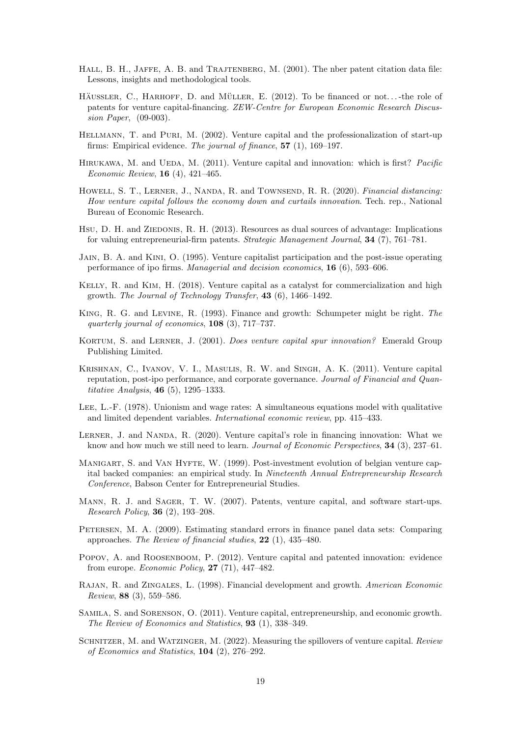- <span id="page-19-19"></span>HALL, B. H., JAFFE, A. B. and TRAJTENBERG, M. (2001). The nber patent citation data file: Lessons, insights and methodological tools.
- <span id="page-19-3"></span>HÄUSSLER, C., HARHOFF, D. and MÜLLER, E.  $(2012)$ . To be financed or not...-the role of patents for venture capital-financing. ZEW-Centre for European Economic Research Discussion Paper, (09-003).
- <span id="page-19-2"></span>Hellmann, T. and Puri, M. (2002). Venture capital and the professionalization of start-up firms: Empirical evidence. The journal of finance, 57 (1), 169–197.
- <span id="page-19-13"></span>HIRUKAWA, M. and UEDA, M. (2011). Venture capital and innovation: which is first? *Pacific* Economic Review, 16 (4), 421–465.
- <span id="page-19-9"></span>HOWELL, S. T., LERNER, J., NANDA, R. and TOWNSEND, R. R. (2020). Financial distancing: How venture capital follows the economy down and curtails innovation. Tech. rep., National Bureau of Economic Research.
- <span id="page-19-4"></span>Hsu, D. H. and ZIEDONIS, R. H. (2013). Resources as dual sources of advantage: Implications for valuing entrepreneurial-firm patents. Strategic Management Journal, 34 (7), 761–781.
- <span id="page-19-10"></span>Jain, B. A. and Kini, O. (1995). Venture capitalist participation and the post-issue operating performance of ipo firms. Managerial and decision economics, 16 (6), 593–606.
- <span id="page-19-7"></span>Kelly, R. and Kim, H. (2018). Venture capital as a catalyst for commercialization and high growth. The Journal of Technology Transfer, 43 (6), 1466–1492.
- <span id="page-19-0"></span>King, R. G. and Levine, R. (1993). Finance and growth: Schumpeter might be right. The quarterly journal of economics, 108 (3), 717–737.
- <span id="page-19-12"></span>Kortum, S. and Lerner, J. (2001). Does venture capital spur innovation? Emerald Group Publishing Limited.
- <span id="page-19-8"></span>Krishnan, C., Ivanov, V. I., Masulis, R. W. and Singh, A. K. (2011). Venture capital reputation, post-ipo performance, and corporate governance. Journal of Financial and Quantitative Analysis, 46 (5), 1295–1333.
- <span id="page-19-16"></span>Lee, L.-F. (1978). Unionism and wage rates: A simultaneous equations model with qualitative and limited dependent variables. International economic review, pp. 415–433.
- <span id="page-19-14"></span>LERNER, J. and NANDA, R. (2020). Venture capital's role in financing innovation: What we know and how much we still need to learn. Journal of Economic Perspectives, 34 (3), 237–61.
- <span id="page-19-11"></span>MANIGART, S. and VAN HYFTE, W. (1999). Post-investment evolution of belgian venture capital backed companies: an empirical study. In Nineteenth Annual Entrepreneurship Research Conference, Babson Center for Entrepreneurial Studies.
- <span id="page-19-17"></span>MANN, R. J. and SAGER, T. W. (2007). Patents, venture capital, and software start-ups. Research Policy, 36 (2), 193–208.
- <span id="page-19-15"></span>Petersen, M. A. (2009). Estimating standard errors in finance panel data sets: Comparing approaches. The Review of financial studies, 22 (1), 435–480.
- <span id="page-19-6"></span>POPOV, A. and ROOSENBOOM, P. (2012). Venture capital and patented innovation: evidence from europe. Economic Policy, 27 (71), 447–482.
- <span id="page-19-18"></span>Rajan, R. and Zingales, L. (1998). Financial development and growth. American Economic Review, 88 (3), 559–586.
- <span id="page-19-5"></span>Samila, S. and Sorenson, O. (2011). Venture capital, entrepreneurship, and economic growth. The Review of Economics and Statistics, 93 (1), 338–349.
- <span id="page-19-1"></span>SCHNITZER, M. and WATZINGER, M. (2022). Measuring the spillovers of venture capital. Review of Economics and Statistics, 104 (2), 276–292.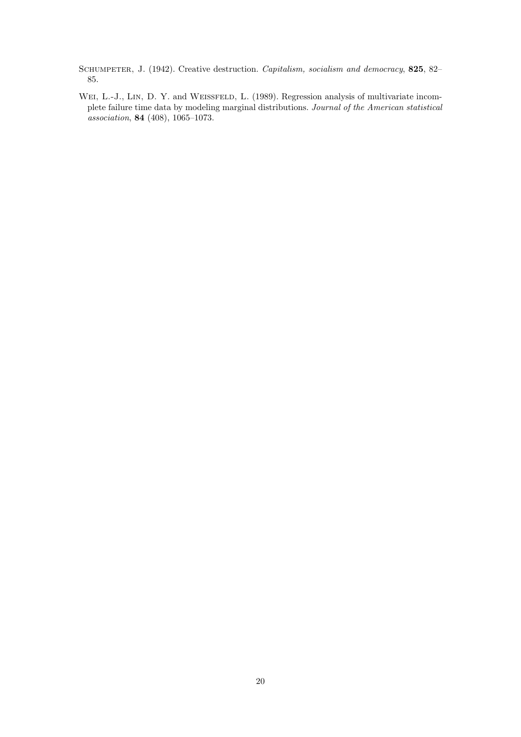<span id="page-20-0"></span>SCHUMPETER, J. (1942). Creative destruction. Capitalism, socialism and democracy, 825, 82-85.

<span id="page-20-1"></span>WEI, L.-J., LIN, D. Y. and WEISSFELD, L. (1989). Regression analysis of multivariate incomplete failure time data by modeling marginal distributions. Journal of the American statistical association, 84 (408), 1065–1073.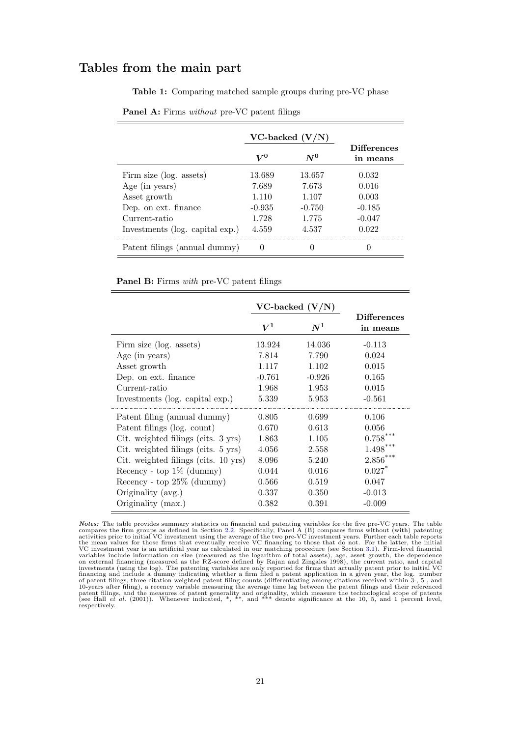# Tables from the main part

<span id="page-21-0"></span>Table 1: Comparing matched sample groups during pre-VC phase

|                                 |          | $VC$ -backed $(V/N)$ |                                |
|---------------------------------|----------|----------------------|--------------------------------|
|                                 | $V^0$    | $N^0$                | <b>Differences</b><br>in means |
| Firm size (log. assets)         | 13.689   | 13.657               | 0.032                          |
| Age (in years)                  | 7.689    | 7.673                | 0.016                          |
| Asset growth                    | 1.110    | 1.107                | 0.003                          |
| Dep. on ext. finance            | $-0.935$ | $-0.750$             | $-0.185$                       |
| Current-ratio                   | 1.728    | 1.775                | $-0.047$                       |
| Investments (log. capital exp.) | 4.559    | 4.537                | 0.022                          |
| Patent filings (annual dummy)   |          |                      |                                |

Panel A: Firms without pre-VC patent filings

Panel B: Firms with pre-VC patent filings

|                                      | $VC$ -backed $(V/N)$ |          |                                |
|--------------------------------------|----------------------|----------|--------------------------------|
|                                      | $\boldsymbol{V^{1}}$ | $N^1$    | <b>Differences</b><br>in means |
| Firm size (log. assets)              | 13.924               | 14.036   | $-0.113$                       |
| Age (in years)                       | 7.814                | 7.790    | 0.024                          |
| Asset growth                         | 1.117                | 1.102    | 0.015                          |
| Dep. on ext. finance                 | $-0.761$             | $-0.926$ | 0.165                          |
| Current-ratio                        | 1.968                | 1.953    | 0.015                          |
| Investments (log. capital exp.)      | 5.339                | 5.953    | $-0.561$                       |
| Patent filing (annual dummy)         | 0.805                | 0.699    | 0.106                          |
| Patent filings (log. count)          | 0.670                | 0.613    | 0.056                          |
| Cit. weighted filings (cits. 3 yrs)  | 1.863                | 1.105    | $0.758***$                     |
| Cit. weighted filings (cits. 5 yrs)  | 4.056                | 2.558    | $1.498***$                     |
| Cit. weighted filings (cits. 10 yrs) | 8.096                | 5.240    | $2.856***$                     |
| Recency - top $1\%$ (dummy)          | 0.044                | 0.016    | $0.027$ <sup>*</sup>           |
| Recency - top $25\%$ (dummy)         | 0.566                | 0.519    | 0.047                          |
| Originality (avg.)                   | 0.337                | 0.350    | $-0.013$                       |
| Originality (max.)                   | 0.382                | 0.391    | $-0.009$                       |

*Notes:* The table provides summary statistics on financial and patenting variables for the five pre-VC years. The table compares the firm groups as defined in Section [2.2.](#page-4-0) Specifically, Panel A (B) compares firms without VC investment year is an artificial year as calculated in our matching procedure (see Section [3.1\)](#page-7-2). Firm-level financial<br>variables include information on size (measured as the logarithm of total assets), age, asset growth respectively.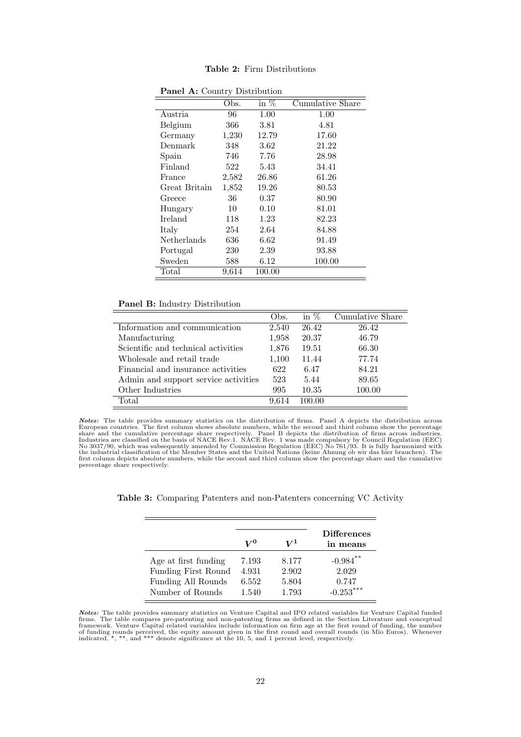|               | Obs.  | in $%$ | Cumulative Share |
|---------------|-------|--------|------------------|
| Austria       | 96    | 1.00   | 1.00             |
| Belgium       | 366   | 3.81   | 4.81             |
| Germany       | 1,230 | 12.79  | 17.60            |
| Denmark       | 348   | 3.62   | 21.22            |
| Spain         | 746   | 7.76   | 28.98            |
| Finland       | 522   | 5.43   | 34.41            |
| France        | 2,582 | 26.86  | 61.26            |
| Great Britain | 1,852 | 19.26  | 80.53            |
| Greece        | 36    | 0.37   | 80.90            |
| Hungary       | 10    | 0.10   | 81.01            |
| Ireland       | 118   | 1.23   | 82.23            |
| Italy         | 254   | 2.64   | 84.88            |
| Netherlands   | 636   | 6.62   | 91.49            |
| Portugal      | 230   | 2.39   | 93.88            |
| Sweden        | 588   | 6.12   | 100.00           |
| Total         | 9,614 | 100.00 |                  |

<span id="page-22-0"></span>Table 2: Firm Distributions

Panel A: Country Distribution

#### Panel B: Industry Distribution

|                                      | Obs.  | in $%$ | Cumulative Share |
|--------------------------------------|-------|--------|------------------|
| Information and communication        | 2,540 | 26.42  | 26.42            |
| Manufacturing                        | 1,958 | 20.37  | 46.79            |
| Scientific and technical activities  | 1,876 | 19.51  | 66.30            |
| Wholesale and retail trade           | 1,100 | 11.44  | 77.74            |
| Financial and insurance activities   | 622   | 6.47   | 84.21            |
| Admin and support service activities | 523   | 5.44   | 89.65            |
| Other Industries                     | 995   | 10.35  | 100.00           |
| Total                                | 9.614 | 100.00 |                  |

**Notes:** The table provides summary statistics on the distribution of firms. Panel A depicts the distribution across<br>European countries. The first column shows absolute numbers, while the second and third column show the first column depicts absolute numbers, while the second and third column show the percentage share and the cumulative percentage share respectively.

<span id="page-22-1"></span>

|                      | $V^0$ | VI    | <b>Differences</b><br>in means |
|----------------------|-------|-------|--------------------------------|
| Age at first funding | 7.193 | 8.177 | $-0.984$ **                    |
| Funding First Round  | 4.931 | 2.902 | 2.029                          |
| Funding All Rounds   | 6.552 | 5.804 | 0.747                          |
| Number of Rounds     | 1.540 | 1.793 | $-0.253***$                    |

Table 3: Comparing Patenters and non-Patenters concerning VC Activity

**Notes:** The table provides summary statistics on Venture Capital and IPO related variables for Venture Capital funded firms. The table compares pre-patenting and non-patenting firms as defined in the Section Literature a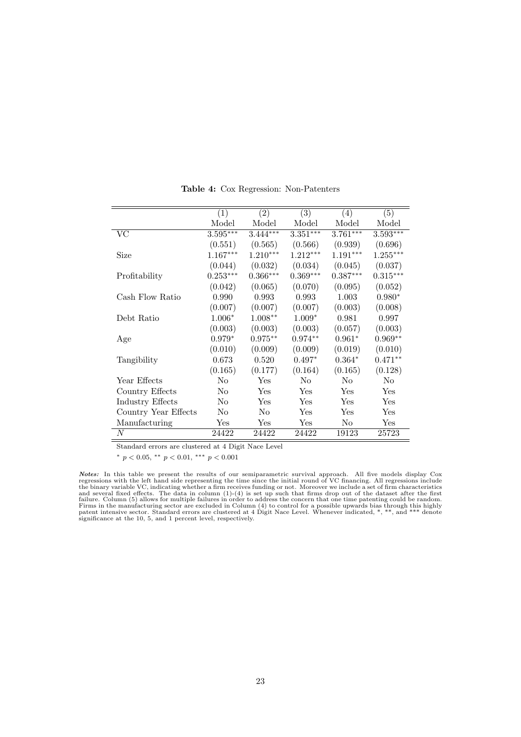|                         | (1)        | (2)            | (3)        | (4)            | (5)        |
|-------------------------|------------|----------------|------------|----------------|------------|
|                         | Model      | Model          | Model      | Model          | Model      |
| VC                      | $3.595***$ | $3.444***$     | $3.351***$ | $3.761***$     | $3.593***$ |
|                         | (0.551)    | (0.565)        | (0.566)    | (0.939)        | (0.696)    |
| Size                    | $1.167***$ | $1.210***$     | $1.212***$ | $1.191***$     | $1.255***$ |
|                         | (0.044)    | (0.032)        | (0.034)    | (0.045)        | (0.037)    |
| Profitability           | $0.253***$ | $0.366***$     | $0.369***$ | $0.387***$     | $0.315***$ |
|                         | (0.042)    | (0.065)        | (0.070)    | (0.095)        | (0.052)    |
| Cash Flow Ratio         | 0.990      | 0.993          | 0.993      | 1.003          | $0.980*$   |
|                         | (0.007)    | (0.007)        | (0.007)    | (0.003)        | (0.008)    |
| Debt Ratio              | $1.006*$   | $1.008**$      | $1.009*$   | 0.981          | 0.997      |
|                         | (0.003)    | (0.003)        | (0.003)    | (0.057)        | (0.003)    |
| Age                     | $0.979*$   | $0.975**$      | $0.974**$  | $0.961*$       | $0.969**$  |
|                         | (0.010)    | (0.009)        | (0.009)    | (0.019)        | (0.010)    |
| Tangibility             | 0.673      | 0.520          | $0.497*$   | $0.364*$       | $0.471**$  |
|                         | (0.165)    | (0.177)        | (0.164)    | (0.165)        | (0.128)    |
| Year Effects            | No         | Yes            | $\rm No$   | N <sub>o</sub> | No         |
| Country Effects         | No         | Yes            | Yes        | Yes            | Yes        |
| <b>Industry Effects</b> | No         | Yes            | Yes        | <b>Yes</b>     | Yes        |
| Country Year Effects    | No         | N <sub>o</sub> | Yes        | Yes            | Yes        |
| Manufacturing           | Yes        | Yes            | Yes        | No             | Yes        |
| N                       | 24422      | 24422          | 24422      | 19123          | 25723      |

<span id="page-23-0"></span>Table 4: Cox Regression: Non-Patenters

Standard errors are clustered at 4 Digit Nace Level

<sup>∗</sup> p < 0.05, ∗∗ p < 0.01, ∗∗∗ p < 0.001

**Notes:** In this table we present the results of our semiparametric survival approach. All five models display Cox regressions with the left hand side representing the time since the iniary variable VC, indicating whether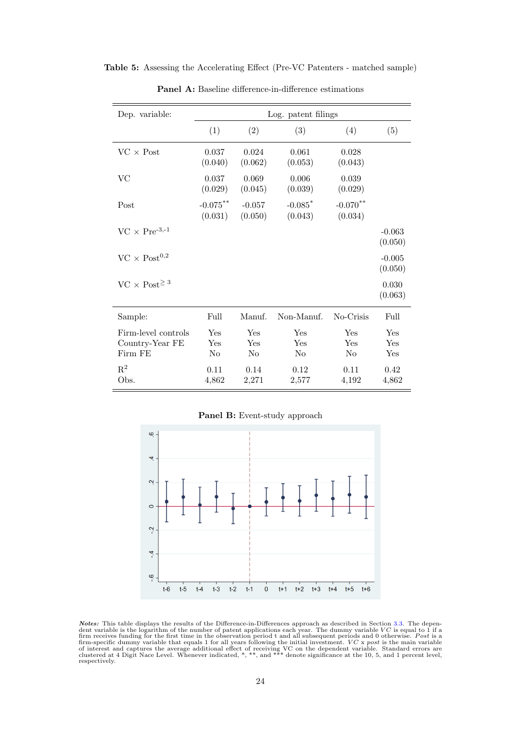Table 5: Assessing the Accelerating Effect (Pre-VC Patenters - matched sample)

| Dep. variable:                                    | Log. patent filings    |                        |                                  |                              |                     |
|---------------------------------------------------|------------------------|------------------------|----------------------------------|------------------------------|---------------------|
|                                                   | (1)                    | (2)                    | (3)                              | (4)                          | (5)                 |
| $VC \times Post$                                  | 0.037<br>(0.040)       | 0.024<br>(0.062)       | 0.061<br>(0.053)                 | 0.028<br>(0.043)             |                     |
| VC                                                | 0.037<br>(0.029)       | 0.069<br>(0.045)       | 0.006<br>(0.039)                 | 0.039<br>(0.029)             |                     |
| Post                                              | $-0.075***$<br>(0.031) | $-0.057$<br>(0.050)    | $-0.085$ <sup>*</sup><br>(0.043) | $-0.070$ **<br>(0.034)       |                     |
| $VC \times Pre^{-3,-1}$                           |                        |                        |                                  |                              | $-0.063$<br>(0.050) |
| $VC \times Post^{0,2}$                            |                        |                        |                                  |                              | $-0.005$<br>(0.050) |
| $VC \times Post^{\geq 3}$                         |                        |                        |                                  |                              | 0.030<br>(0.063)    |
| Sample:                                           | Full                   | Manuf.                 | Non-Manuf.                       | No-Crisis                    | Full                |
| Firm-level controls<br>Country-Year FE<br>Firm FE | Yes<br>Yes<br>$\rm No$ | Yes<br>Yes<br>$\rm No$ | Yes<br>Yes<br>N <sub>o</sub>     | Yes<br>Yes<br>N <sub>o</sub> | Yes<br>Yes<br>Yes   |
| $\mathbf{R}^2$<br>Obs.                            | 0.11<br>4,862          | 0.14<br>2,271          | 0.12<br>2,577                    | 0.11<br>4,192                | 0.42<br>4,862       |

<span id="page-24-0"></span>Panel A: Baseline difference-in-difference estimations

Panel B: Event-study approach



**Notes:** This table displays the results of the Difference-in-Differences approach as described in Section [3.3.](#page-10-0) The dependent variable is the logarithm of the number of patent applications each year. The dummy variable  $VC$ respectively.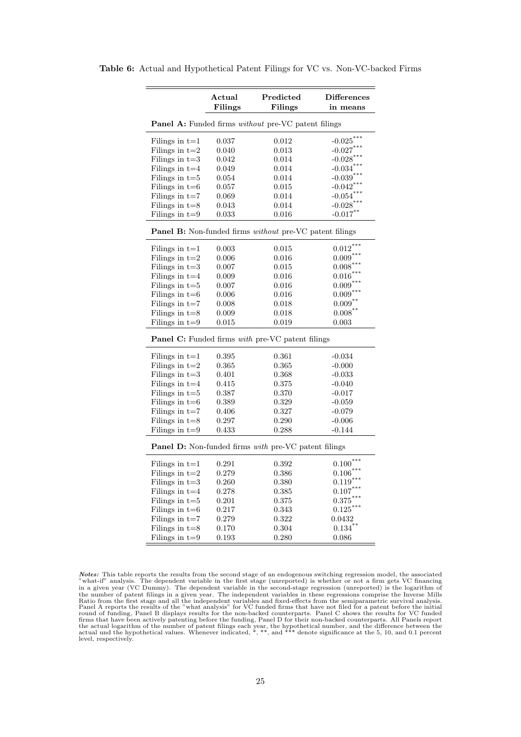Table 6: Actual and Hypothetical Patent Filings for VC vs. Non-VC-backed Firms

<span id="page-25-0"></span>

|                  | Actual        | Predicted                                               | <b>Differences</b> |
|------------------|---------------|---------------------------------------------------------|--------------------|
|                  | Filings       | Filings                                                 | in means           |
|                  |               | Panel A: Funded firms without pre-VC patent filings     |                    |
| Filings in $t=1$ | 0.037         | 0.012                                                   | $-0.025***$        |
| Filings in $t=2$ | 0.040         | 0.013                                                   | $-0.027***$        |
| Filings in $t=3$ | 0.042         | 0.014                                                   | $-0.028***$        |
| Filings in $t=4$ | 0.049         | 0.014                                                   | $-0.034***$        |
| Filings in $t=5$ | 0.054         | 0.014                                                   | $-0.039***$        |
| Filings in $t=6$ | 0.057         | 0.015                                                   | $-0.042$ ***       |
| Filings in $t=7$ | 0.069         | 0.014                                                   | $-0.054***$        |
| Filings in $t=8$ | 0.043         | 0.014                                                   | $-0.028$ ***       |
| Filings in $t=9$ | $\, 0.033 \,$ | 0.016                                                   | $-0.017***$        |
|                  |               | Panel B: Non-funded firms without pre-VC patent filings |                    |
| Filings in $t=1$ | 0.003         | $\,0.015\,$                                             | $0.012***$         |
| Filings in $t=2$ | 0.006         | 0.016                                                   | $0.009***$         |
| Filings in $t=3$ | 0.007         | 0.015                                                   | $0.008***$         |
| Filings in $t=4$ | 0.009         | 0.016                                                   | $0.016^{***}$      |
| Filings in $t=5$ | 0.007         | 0.016                                                   | $0.009***$         |
| Filings in $t=6$ | 0.006         | 0.016                                                   | $0.009***$         |
| Filings in $t=7$ | 0.008         | 0.018                                                   | $0.009***$         |
| Filings in $t=8$ | 0.009         | 0.018                                                   | $0.008***$         |
| Filings in $t=9$ | $\,0.015\,$   | 0.019                                                   | 0.003              |
|                  |               | Panel C: Funded firms with pre-VC patent filings        |                    |
| Filings in $t=1$ | 0.395         | 0.361                                                   | $-0.034$           |
| Filings in $t=2$ | 0.365         | 0.365                                                   | $-0.000$           |
| Filings in $t=3$ | 0.401         | 0.368                                                   | -0.033             |
| Filings in $t=4$ | 0.415         | 0.375                                                   | $-0.040$           |
| Filings in $t=5$ | 0.387         | 0.370                                                   | $-0.017$           |
| Filings in $t=6$ | 0.389         | 0.329                                                   | $-0.059$           |
| Filings in $t=7$ | 0.406         | 0.327                                                   | $-0.079$           |
| Filings in $t=8$ | 0.297         | 0.290                                                   | $-0.006$           |
| Filings in $t=9$ | 0.433         | 0.288                                                   | $-0.144$           |
|                  |               | Panel D: Non-funded firms with pre-VC patent filings    |                    |
| Filings in $t=1$ | 0.291         | 0.392                                                   | $0.100***$         |
| Filings in $t=2$ | 0.279         | 0.386                                                   | $0.106***$         |
| Filings in $t=3$ | 0.260         | 0.380                                                   | ***<br>0.119       |
| Filings in $t=4$ | 0.278         | 0.385                                                   | $0.107***$         |
| Filings in $t=5$ | 0.201         | 0.375                                                   | $0.375***$         |
| Filings in $t=6$ | 0.217         | 0.343                                                   | $0.125***$         |
| Filings in $t=7$ | 0.279         | 0.322                                                   | 0.0432             |
| Filings in $t=8$ | 0.170         | 0.304                                                   | $0.134***$         |
| Filings in $t=9$ | 0.193         | 0.280                                                   | 0.086              |

**Notes:** This table reports the results from the second stage of an endogenous switching regression model, the associated "what-if" analysis. The dependent variable in the first stage (unreported) is whether or not a firm round of funding, Panel B displays results for the non-backed counterparts. Panel C shows the results for VC funded<br>firms that have been actively patenting before the funding, Panel D for their non-backed counterparts. All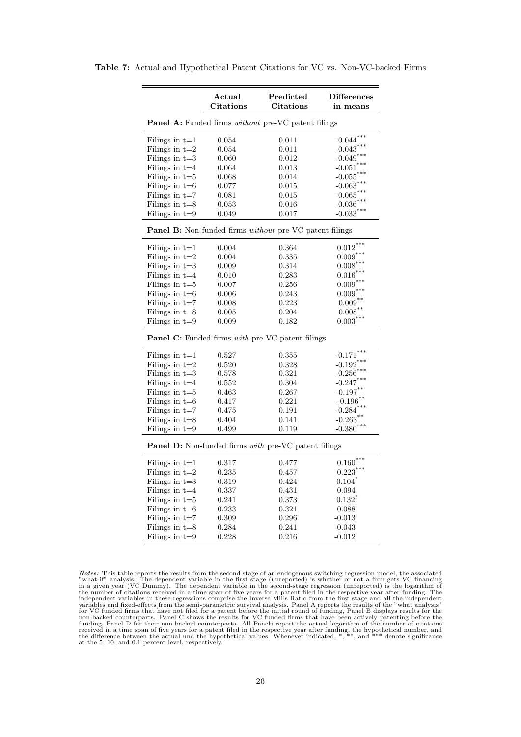|  |  |  | <b>Table 7:</b> Actual and Hypothetical Patent Citations for VC vs. Non-VC-backed Firms |  |  |  |  |  |  |  |  |  |  |
|--|--|--|-----------------------------------------------------------------------------------------|--|--|--|--|--|--|--|--|--|--|
|--|--|--|-----------------------------------------------------------------------------------------|--|--|--|--|--|--|--|--|--|--|

<span id="page-26-0"></span>

|                  | Actual           | Predicted                                                             | <b>Differences</b>           |
|------------------|------------------|-----------------------------------------------------------------------|------------------------------|
|                  | <b>Citations</b> | <b>Citations</b>                                                      | in means                     |
|                  |                  | Panel A: Funded firms without pre-VC patent filings                   |                              |
| Filings in $t=1$ | 0.054            | 0.011                                                                 | $-0.044***$                  |
| Filings in $t=2$ | 0.054            | 0.011                                                                 | $-0.043***$                  |
| Filings in $t=3$ | 0.060            | 0.012                                                                 | $-0.049$ ***                 |
| Filings in $t=4$ | 0.064            | 0.013                                                                 | $-0.051***$                  |
| Filings in $t=5$ | 0.068            | 0.014                                                                 | $-0.055***$                  |
| Filings in $t=6$ | 0.077            | 0.015                                                                 | $-0.063***$                  |
| Filings in $t=7$ | 0.081            | 0.015                                                                 | $-0.065***$                  |
| Filings in $t=8$ | 0.053            | 0.016                                                                 | $-0.036***$                  |
| Filings in $t=9$ | 0.049            | 0.017                                                                 | $-0.033***$                  |
|                  |                  | <b>Panel B:</b> Non-funded firms <i>without</i> pre-VC patent filings |                              |
| Filings in $t=1$ | 0.004            | 0.364                                                                 | $0.012***$                   |
| Filings in $t=2$ | 0.004            | 0.335                                                                 | $0.009***$                   |
| Filings in $t=3$ | 0.009            | 0.314                                                                 | $0.008***$                   |
| Filings in $t=4$ | 0.010            | 0.283                                                                 | $0.016***$                   |
| Filings in $t=5$ | 0.007            | 0.256                                                                 | $0.009***$                   |
| Filings in $t=6$ | 0.006            | 0.243                                                                 | $0.009***$                   |
| Filings in $t=7$ | 0.008            | 0.223                                                                 | $0.009***$                   |
| Filings in $t=8$ | 0.005            | 0.204                                                                 | $0.008***$                   |
| Filings in $t=9$ | 0.009            | 0.182                                                                 | $0.003***$                   |
|                  |                  | Panel C: Funded firms with pre-VC patent filings                      |                              |
| Filings in $t=1$ | 0.527            | 0.355                                                                 | $-0.171***$                  |
| Filings in $t=2$ | 0.520            | 0.328                                                                 | $-0.192***$                  |
| Filings in $t=3$ | 0.578            | 0.321                                                                 | $***$<br>$-0.256$            |
| Filings in $t=4$ | 0.552            | 0.304                                                                 | $-0.247***$                  |
| Filings in $t=5$ | 0.463            | 0.267                                                                 | $\textbf{-0.197}^{\ast\ast}$ |
| Filings in $t=6$ | 0.417            | 0.221                                                                 | $-0.196$ **                  |
| Filings in $t=7$ | 0.475            | 0.191                                                                 | $-0.284***$                  |
| Filings in $t=8$ | 0.404            | 0.141                                                                 | $-0.263$ <sup>**</sup>       |
| Filings in $t=9$ | 0.499            | 0.119                                                                 | $-0.380$ ***                 |
|                  |                  | Panel D: Non-funded firms with pre-VC patent filings                  |                              |
| Filings in $t=1$ | 0.317            | 0.477                                                                 | $0.160***$                   |
| Filings in $t=2$ | 0.235            | 0.457                                                                 | $0.223***$                   |
| Filings in $t=3$ | 0.319            | 0.424                                                                 | 0.104                        |
| Filings in $t=4$ | 0.337            | 0.431                                                                 | 0.094                        |
| Filings in $t=5$ | 0.241            | 0.373                                                                 | $0.132$ <sup>*</sup>         |
| Filings in $t=6$ | 0.233            | 0.321                                                                 | 0.088                        |
| Filings in $t=7$ | 0.309            | 0.296                                                                 | $-0.013$                     |
| Filings in $t=8$ | 0.284            | 0.241                                                                 | $-0.043$                     |
| Filings in $t=9$ | 0.228            | 0.216                                                                 | $-0.012$                     |

**Notes:** This table reports the results from the second stage of an endogenous switching regression model, the associated "what-if" analysis. The dependent variable in the first stage (unreported) is whether or not a firm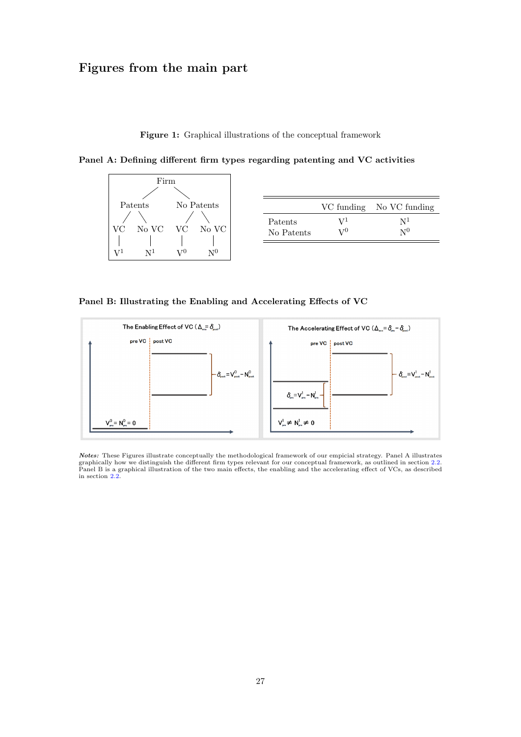# Figures from the main part

<span id="page-27-0"></span>Figure 1: Graphical illustrations of the conceptual framework

Panel A: Defining different firm types regarding patenting and VC activities



|            |       | VC funding No VC funding |
|------------|-------|--------------------------|
| Patents    | $V^1$ | N <sup>1</sup>           |
| No Patents | $V^0$ | N <sup>0</sup>           |

Panel B: Illustrating the Enabling and Accelerating Effects of VC



*Notes:* These Figures illustrate conceptually the methodological framework of our empicial strategy. Panel A illustrates<br>graphically how we distinguish the different firm types relevant for our conceptual framework, as ou in section [2.2.](#page-4-0)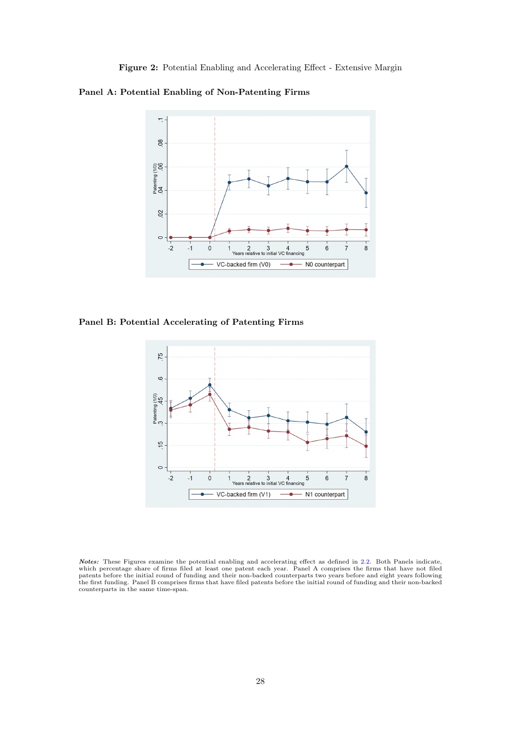<span id="page-28-0"></span>Figure 2: Potential Enabling and Accelerating Effect - Extensive Margin

Panel A: Potential Enabling of Non-Patenting Firms



Panel B: Potential Accelerating of Patenting Firms



*Notes:* These Figures examine the potential enabling and accelerating effect as defined in [2.2.](#page-4-0) Both Panels indicate, which percentage share of firms fled at least one patent each year. Panel A comprises the firms that ha counterparts in the same time-span.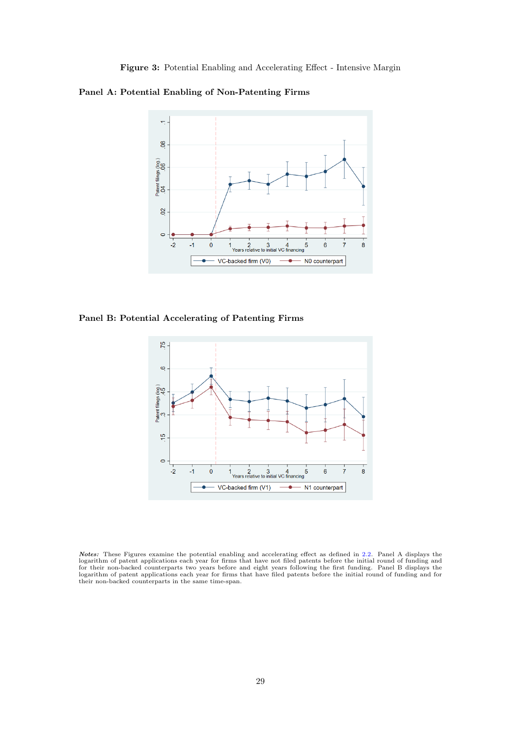Panel A: Potential Enabling of Non-Patenting Firms

<span id="page-29-0"></span>

Panel B: Potential Accelerating of Patenting Firms



*Notes:* These Figures examine the potential enabling and accelerating effect as defined in [2.2.](#page-4-0) Panel A displays the logarithm of patent applications each year for firms that have not filed patents before the initial roun logarithm of patent applications each year for firms that have filed patents before the initial round of funding and for their non-backed counterparts in the same time-span.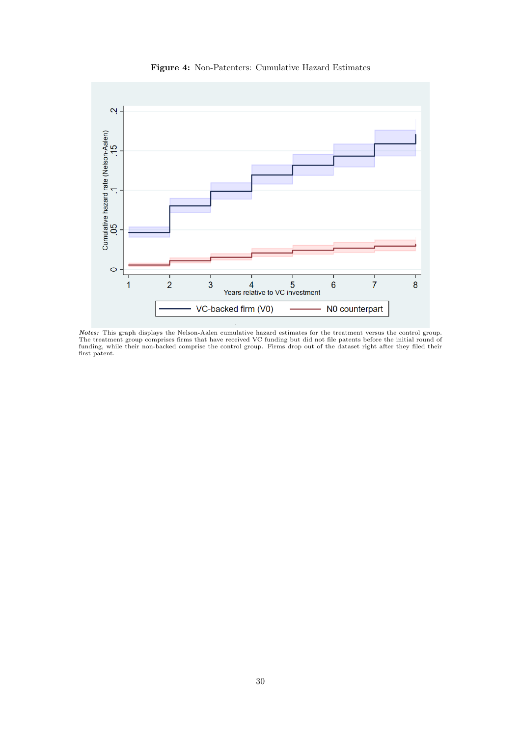

<span id="page-30-0"></span>Figure 4: Non-Patenters: Cumulative Hazard Estimates

*Notes:* This graph displays the Nelson-Aalen cumulative hazard estimates for the treatment versus the control group.<br>The treatment group comprises firms that have received VC funding but did not file patents before the in first patent.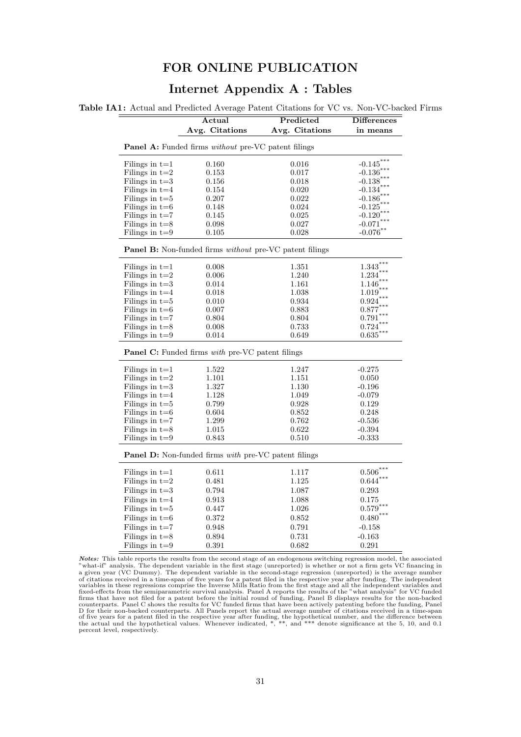# FOR ONLINE PUBLICATION

# Internet Appendix A : Tables

Table IA1: Actual and Predicted Average Patent Citations for VC vs. Non-VC-backed Firms

<span id="page-31-0"></span>

|                  | Actual<br>Avg. Citations                                          | Predicted<br>Avg. Citations | <b>Differences</b><br>in means |
|------------------|-------------------------------------------------------------------|-----------------------------|--------------------------------|
|                  |                                                                   |                             |                                |
|                  | <b>Panel A:</b> Funded firms <i>without</i> pre-VC patent filings |                             |                                |
| Filings in $t=1$ | 0.160                                                             | 0.016                       | $-0.145$                       |
| Filings in $t=2$ | 0.153                                                             | 0.017                       | $-0.136***$                    |
| Filings in $t=3$ | 0.156                                                             | 0.018                       | $-0.138$                       |
| Filings in $t=4$ | 0.154                                                             | 0.020                       | $-0.134$                       |
| Filings in $t=5$ | 0.207                                                             | 0.022                       | $-0.186$                       |
| Filings in $t=6$ | 0.148                                                             | 0.024                       | $-0.125$                       |
| Filings in $t=7$ | 0.145                                                             | 0.025                       | $-0.120$                       |
| Filings in $t=8$ | 0.098                                                             | 0.027                       | $-0.071$                       |
| Filings in $t=9$ | 0.105                                                             | 0.028                       | $-0.076$ **                    |
|                  | Panel B: Non-funded firms without pre-VC patent filings           |                             |                                |
| Filings in $t=1$ | 0.008                                                             | 1.351                       | $1.343***$                     |
| Filings in $t=2$ | 0.006                                                             | 1.240                       | 1.234                          |
| Filings in $t=3$ | 0.014                                                             | 1.161                       | 1.146                          |
| Filings in $t=4$ | 0.018                                                             | 1.038                       | 1.019                          |
| Filings in $t=5$ | 0.010                                                             | 0.934                       | 0.924                          |
| Filings in $t=6$ | 0.007                                                             | 0.883                       | 0.877                          |
| Filings in $t=7$ | 0.804                                                             | 0.804                       | 0.791                          |
| Filings in $t=8$ | 0.008                                                             | 0.733                       | 0.724                          |
| Filings in $t=9$ | 0.014                                                             | 0.649                       | 0.635                          |
|                  | Panel C: Funded firms with pre-VC patent filings                  |                             |                                |
| Filings in $t=1$ | 1.522                                                             | 1.247                       | $-0.275$                       |
| Filings in $t=2$ | 1.101                                                             | 1.151                       | 0.050                          |
| Filings in $t=3$ | 1.327                                                             | 1.130                       | $-0.196$                       |
| Filings in $t=4$ | 1.128                                                             | 1.049                       | $-0.079$                       |
| Filings in $t=5$ | 0.799                                                             | 0.928                       | 0.129                          |
| Filings in $t=6$ | 0.604                                                             | 0.852                       | 0.248                          |
| Filings in $t=7$ | 1.299                                                             | 0.762                       | $-0.536$                       |
| Filings in $t=8$ | 1.015                                                             | 0.622                       | $-0.394$                       |
| Filings in $t=9$ | 0.843                                                             | 0.510                       | $-0.333$                       |
|                  | Panel D: Non-funded firms with pre-VC patent filings              |                             |                                |
| Filings in $t=1$ | 0.611                                                             | 1.117                       | $0.506***$                     |
| Filings in $t=2$ | 0.481                                                             | 1.125                       | $0.644$ <sup>*</sup>           |
| Filings in $t=3$ | 0.794                                                             | 1.087                       | 0.293                          |
| Filings in $t=4$ | 0.913                                                             | 1.088                       | 0.175                          |
| Filings in $t=5$ | 0.447                                                             | 1.026                       | $0.579***$                     |
| Filings in $t=6$ | 0.372                                                             | 0.852                       | $0.480***$                     |
|                  | 0.948                                                             | 0.791                       |                                |
| Filings in $t=7$ |                                                                   |                             | $-0.158$                       |
| Filings in $t=8$ | 0.894                                                             | 0.731                       | $-0.163$                       |
| Filings in $t=9$ | 0.391                                                             | 0.682                       | 0.291                          |

*Notes:* This table reports the results from the second stage of an endogenous switching regression model, the associated "what-if" analysis. The dependent variable in the first stage (unreported) is whether or not a firm of citations received in a time-span of five years for a patent filed in the respective year after funding. The independent<br>variables in these regressions comprise the Inverse Mills Ratio from the first stage and all the i firms that have not filed for a patent before the initial round of funding, Panel B displays results for the non-backed counterparts. Panel C shows the results for VC funded firms that have been actively patenting before percent level, respectively.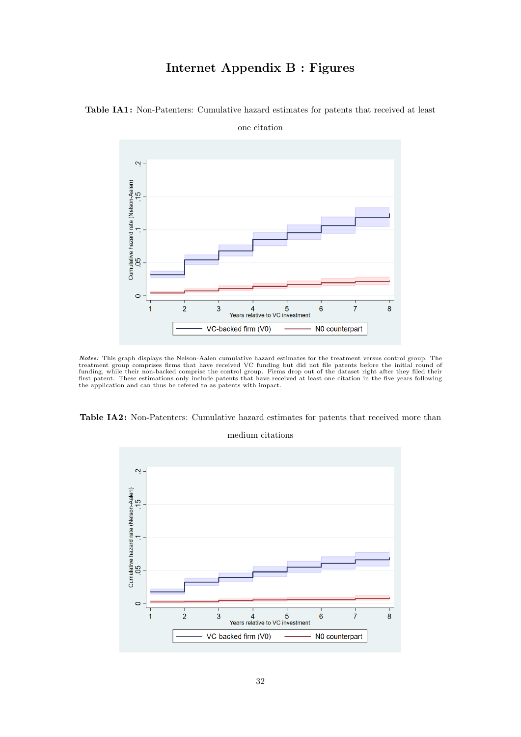# Internet Appendix B : Figures

<span id="page-32-0"></span>

Table IA1: Non-Patenters: Cumulative hazard estimates for patents that received at least

**Notes:** This graph displays the Nelson-Aalen cumulative hazard estimates for the treatment versus control group. The treatment group comprises firms that have received VC funding but did not file patents before the initia



#### medium citations

<span id="page-32-1"></span>